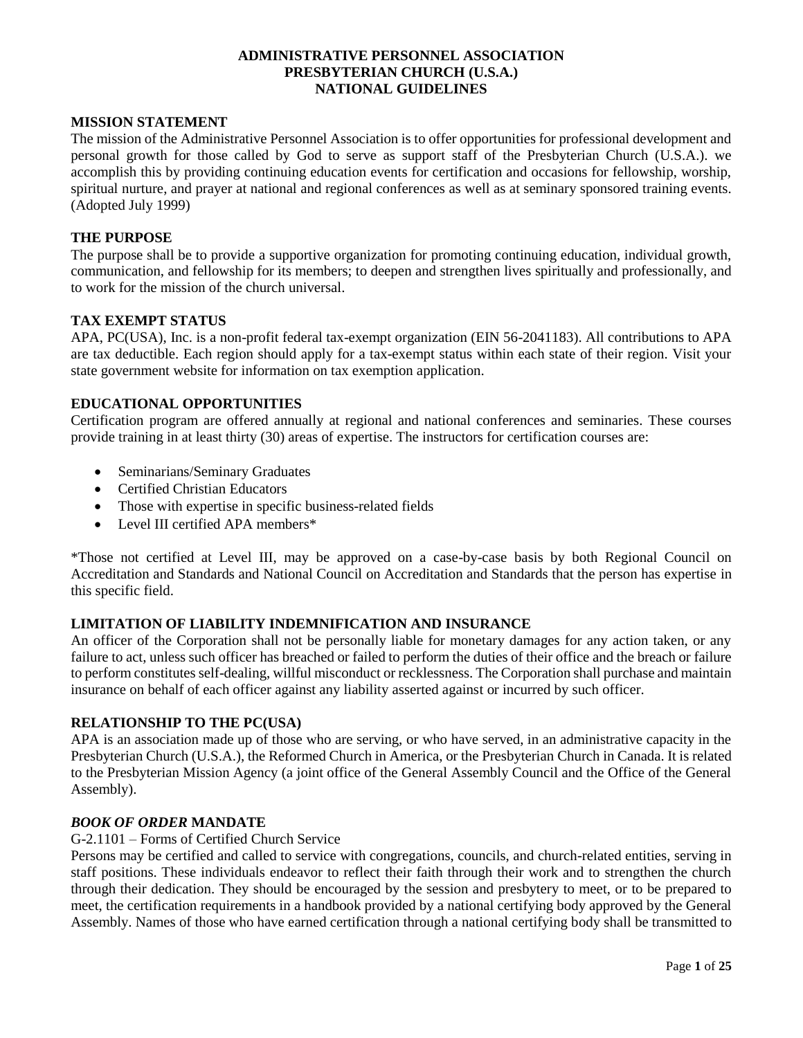### **ADMINISTRATIVE PERSONNEL ASSOCIATION PRESBYTERIAN CHURCH (U.S.A.) NATIONAL GUIDELINES**

### **MISSION STATEMENT**

The mission of the Administrative Personnel Association is to offer opportunities for professional development and personal growth for those called by God to serve as support staff of the Presbyterian Church (U.S.A.). we accomplish this by providing continuing education events for certification and occasions for fellowship, worship, spiritual nurture, and prayer at national and regional conferences as well as at seminary sponsored training events. (Adopted July 1999)

## **THE PURPOSE**

The purpose shall be to provide a supportive organization for promoting continuing education, individual growth, communication, and fellowship for its members; to deepen and strengthen lives spiritually and professionally, and to work for the mission of the church universal.

### **TAX EXEMPT STATUS**

APA, PC(USA), Inc. is a non-profit federal tax-exempt organization (EIN 56-2041183). All contributions to APA are tax deductible. Each region should apply for a tax-exempt status within each state of their region. Visit your state government website for information on tax exemption application.

## **EDUCATIONAL OPPORTUNITIES**

Certification program are offered annually at regional and national conferences and seminaries. These courses provide training in at least thirty (30) areas of expertise. The instructors for certification courses are:

- Seminarians/Seminary Graduates
- Certified Christian Educators
- Those with expertise in specific business-related fields
- Level III certified APA members<sup>\*</sup>

\*Those not certified at Level III, may be approved on a case-by-case basis by both Regional Council on Accreditation and Standards and National Council on Accreditation and Standards that the person has expertise in this specific field.

#### **LIMITATION OF LIABILITY INDEMNIFICATION AND INSURANCE**

An officer of the Corporation shall not be personally liable for monetary damages for any action taken, or any failure to act, unless such officer has breached or failed to perform the duties of their office and the breach or failure to perform constitutes self-dealing, willful misconduct or recklessness. The Corporation shall purchase and maintain insurance on behalf of each officer against any liability asserted against or incurred by such officer.

### **RELATIONSHIP TO THE PC(USA)**

APA is an association made up of those who are serving, or who have served, in an administrative capacity in the Presbyterian Church (U.S.A.), the Reformed Church in America, or the Presbyterian Church in Canada. It is related to the Presbyterian Mission Agency (a joint office of the General Assembly Council and the Office of the General Assembly).

## *BOOK OF ORDER* **MANDATE**

#### G-2.1101 – Forms of Certified Church Service

Persons may be certified and called to service with congregations, councils, and church-related entities, serving in staff positions. These individuals endeavor to reflect their faith through their work and to strengthen the church through their dedication. They should be encouraged by the session and presbytery to meet, or to be prepared to meet, the certification requirements in a handbook provided by a national certifying body approved by the General Assembly. Names of those who have earned certification through a national certifying body shall be transmitted to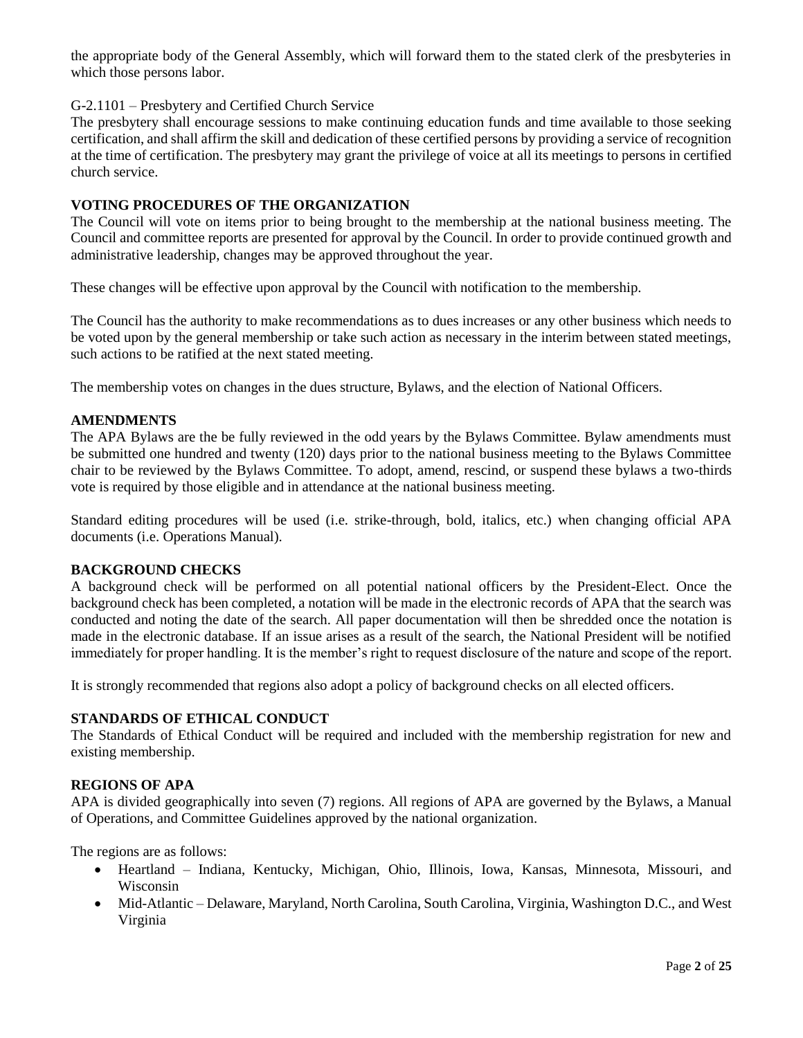the appropriate body of the General Assembly, which will forward them to the stated clerk of the presbyteries in which those persons labor.

### G-2.1101 – Presbytery and Certified Church Service

The presbytery shall encourage sessions to make continuing education funds and time available to those seeking certification, and shall affirm the skill and dedication of these certified persons by providing a service of recognition at the time of certification. The presbytery may grant the privilege of voice at all its meetings to persons in certified church service.

### **VOTING PROCEDURES OF THE ORGANIZATION**

The Council will vote on items prior to being brought to the membership at the national business meeting. The Council and committee reports are presented for approval by the Council. In order to provide continued growth and administrative leadership, changes may be approved throughout the year.

These changes will be effective upon approval by the Council with notification to the membership.

The Council has the authority to make recommendations as to dues increases or any other business which needs to be voted upon by the general membership or take such action as necessary in the interim between stated meetings, such actions to be ratified at the next stated meeting.

The membership votes on changes in the dues structure, Bylaws, and the election of National Officers.

### **AMENDMENTS**

The APA Bylaws are the be fully reviewed in the odd years by the Bylaws Committee. Bylaw amendments must be submitted one hundred and twenty (120) days prior to the national business meeting to the Bylaws Committee chair to be reviewed by the Bylaws Committee. To adopt, amend, rescind, or suspend these bylaws a two-thirds vote is required by those eligible and in attendance at the national business meeting.

Standard editing procedures will be used (i.e. strike-through, bold, italics, etc.) when changing official APA documents (i.e. Operations Manual).

## **BACKGROUND CHECKS**

A background check will be performed on all potential national officers by the President-Elect. Once the background check has been completed, a notation will be made in the electronic records of APA that the search was conducted and noting the date of the search. All paper documentation will then be shredded once the notation is made in the electronic database. If an issue arises as a result of the search, the National President will be notified immediately for proper handling. It is the member's right to request disclosure of the nature and scope of the report.

It is strongly recommended that regions also adopt a policy of background checks on all elected officers.

#### **STANDARDS OF ETHICAL CONDUCT**

The Standards of Ethical Conduct will be required and included with the membership registration for new and existing membership.

### **REGIONS OF APA**

APA is divided geographically into seven (7) regions. All regions of APA are governed by the Bylaws, a Manual of Operations, and Committee Guidelines approved by the national organization.

The regions are as follows:

- Heartland Indiana, Kentucky, Michigan, Ohio, Illinois, Iowa, Kansas, Minnesota, Missouri, and Wisconsin
- Mid-Atlantic Delaware, Maryland, North Carolina, South Carolina, Virginia, Washington D.C., and West Virginia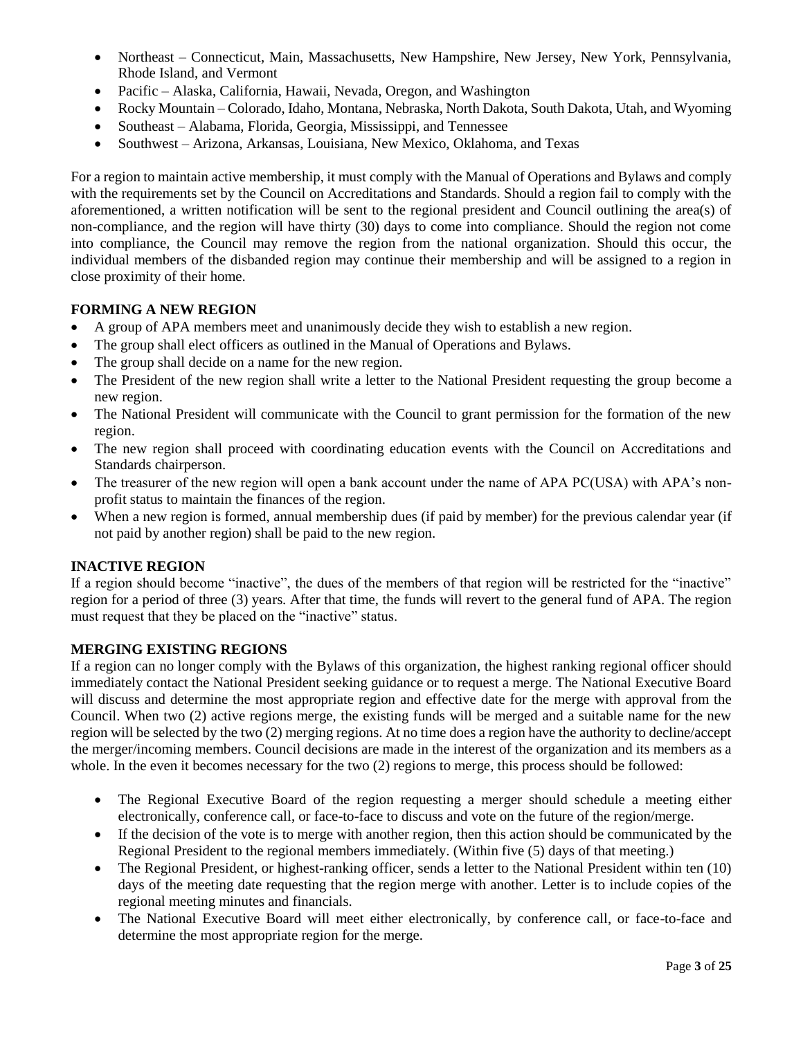- Northeast Connecticut, Main, Massachusetts, New Hampshire, New Jersey, New York, Pennsylvania, Rhode Island, and Vermont
- Pacific Alaska, California, Hawaii, Nevada, Oregon, and Washington
- Rocky Mountain Colorado, Idaho, Montana, Nebraska, North Dakota, South Dakota, Utah, and Wyoming
- Southeast Alabama, Florida, Georgia, Mississippi, and Tennessee
- Southwest Arizona, Arkansas, Louisiana, New Mexico, Oklahoma, and Texas

For a region to maintain active membership, it must comply with the Manual of Operations and Bylaws and comply with the requirements set by the Council on Accreditations and Standards. Should a region fail to comply with the aforementioned, a written notification will be sent to the regional president and Council outlining the area(s) of non-compliance, and the region will have thirty (30) days to come into compliance. Should the region not come into compliance, the Council may remove the region from the national organization. Should this occur, the individual members of the disbanded region may continue their membership and will be assigned to a region in close proximity of their home.

# **FORMING A NEW REGION**

- A group of APA members meet and unanimously decide they wish to establish a new region.
- The group shall elect officers as outlined in the Manual of Operations and Bylaws.
- The group shall decide on a name for the new region.
- The President of the new region shall write a letter to the National President requesting the group become a new region.
- The National President will communicate with the Council to grant permission for the formation of the new region.
- The new region shall proceed with coordinating education events with the Council on Accreditations and Standards chairperson.
- The treasurer of the new region will open a bank account under the name of APA PC(USA) with APA's nonprofit status to maintain the finances of the region.
- When a new region is formed, annual membership dues (if paid by member) for the previous calendar year (if not paid by another region) shall be paid to the new region.

## **INACTIVE REGION**

If a region should become "inactive", the dues of the members of that region will be restricted for the "inactive" region for a period of three (3) years. After that time, the funds will revert to the general fund of APA. The region must request that they be placed on the "inactive" status.

## **MERGING EXISTING REGIONS**

If a region can no longer comply with the Bylaws of this organization, the highest ranking regional officer should immediately contact the National President seeking guidance or to request a merge. The National Executive Board will discuss and determine the most appropriate region and effective date for the merge with approval from the Council. When two (2) active regions merge, the existing funds will be merged and a suitable name for the new region will be selected by the two (2) merging regions. At no time does a region have the authority to decline/accept the merger/incoming members. Council decisions are made in the interest of the organization and its members as a whole. In the even it becomes necessary for the two (2) regions to merge, this process should be followed:

- The Regional Executive Board of the region requesting a merger should schedule a meeting either electronically, conference call, or face-to-face to discuss and vote on the future of the region/merge.
- If the decision of the vote is to merge with another region, then this action should be communicated by the Regional President to the regional members immediately. (Within five (5) days of that meeting.)
- The Regional President, or highest-ranking officer, sends a letter to the National President within ten (10) days of the meeting date requesting that the region merge with another. Letter is to include copies of the regional meeting minutes and financials.
- The National Executive Board will meet either electronically, by conference call, or face-to-face and determine the most appropriate region for the merge.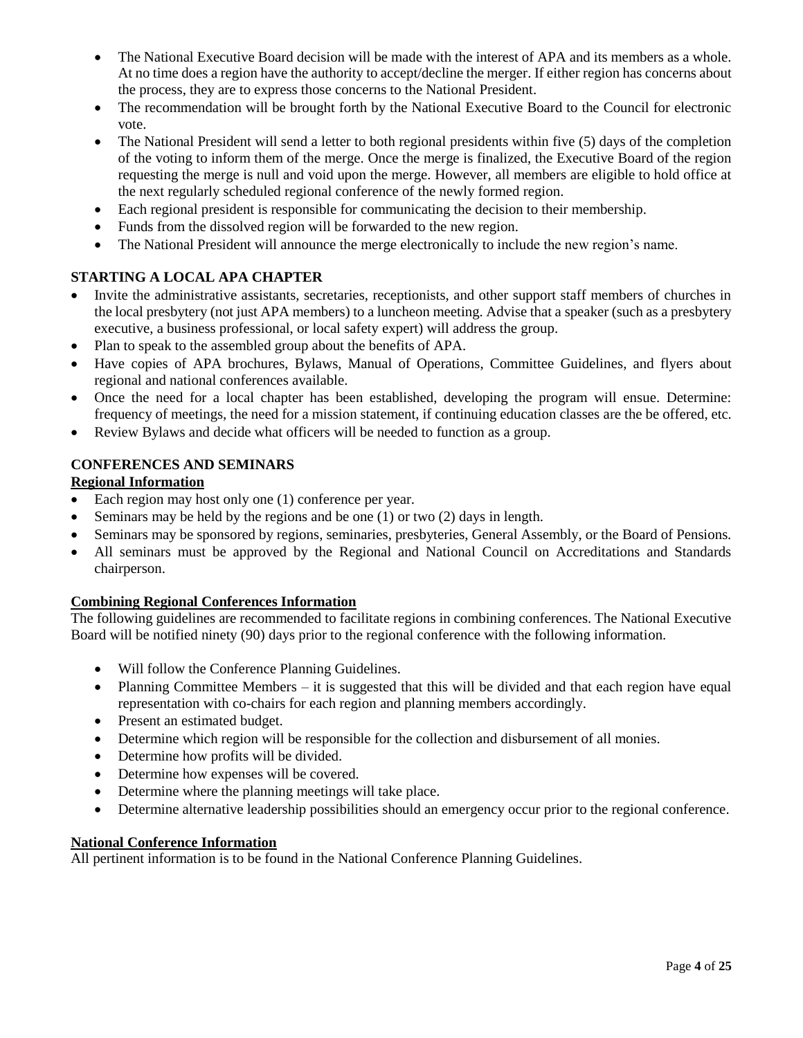- The National Executive Board decision will be made with the interest of APA and its members as a whole. At no time does a region have the authority to accept/decline the merger. If either region has concerns about the process, they are to express those concerns to the National President.
- The recommendation will be brought forth by the National Executive Board to the Council for electronic vote.
- The National President will send a letter to both regional presidents within five (5) days of the completion of the voting to inform them of the merge. Once the merge is finalized, the Executive Board of the region requesting the merge is null and void upon the merge. However, all members are eligible to hold office at the next regularly scheduled regional conference of the newly formed region.
- Each regional president is responsible for communicating the decision to their membership.
- Funds from the dissolved region will be forwarded to the new region.
- The National President will announce the merge electronically to include the new region's name.

# **STARTING A LOCAL APA CHAPTER**

- Invite the administrative assistants, secretaries, receptionists, and other support staff members of churches in the local presbytery (not just APA members) to a luncheon meeting. Advise that a speaker (such as a presbytery executive, a business professional, or local safety expert) will address the group.
- Plan to speak to the assembled group about the benefits of APA.
- Have copies of APA brochures, Bylaws, Manual of Operations, Committee Guidelines, and flyers about regional and national conferences available.
- Once the need for a local chapter has been established, developing the program will ensue. Determine: frequency of meetings, the need for a mission statement, if continuing education classes are the be offered, etc.
- Review Bylaws and decide what officers will be needed to function as a group.

## **CONFERENCES AND SEMINARS**

## **Regional Information**

- Each region may host only one (1) conference per year.
- Seminars may be held by the regions and be one (1) or two (2) days in length.
- Seminars may be sponsored by regions, seminaries, presbyteries, General Assembly, or the Board of Pensions.
- All seminars must be approved by the Regional and National Council on Accreditations and Standards chairperson.

# **Combining Regional Conferences Information**

The following guidelines are recommended to facilitate regions in combining conferences. The National Executive Board will be notified ninety (90) days prior to the regional conference with the following information.

- Will follow the Conference Planning Guidelines.
- Planning Committee Members it is suggested that this will be divided and that each region have equal representation with co-chairs for each region and planning members accordingly.
- Present an estimated budget.
- Determine which region will be responsible for the collection and disbursement of all monies.
- Determine how profits will be divided.
- Determine how expenses will be covered.
- Determine where the planning meetings will take place.
- Determine alternative leadership possibilities should an emergency occur prior to the regional conference.

### **National Conference Information**

All pertinent information is to be found in the National Conference Planning Guidelines.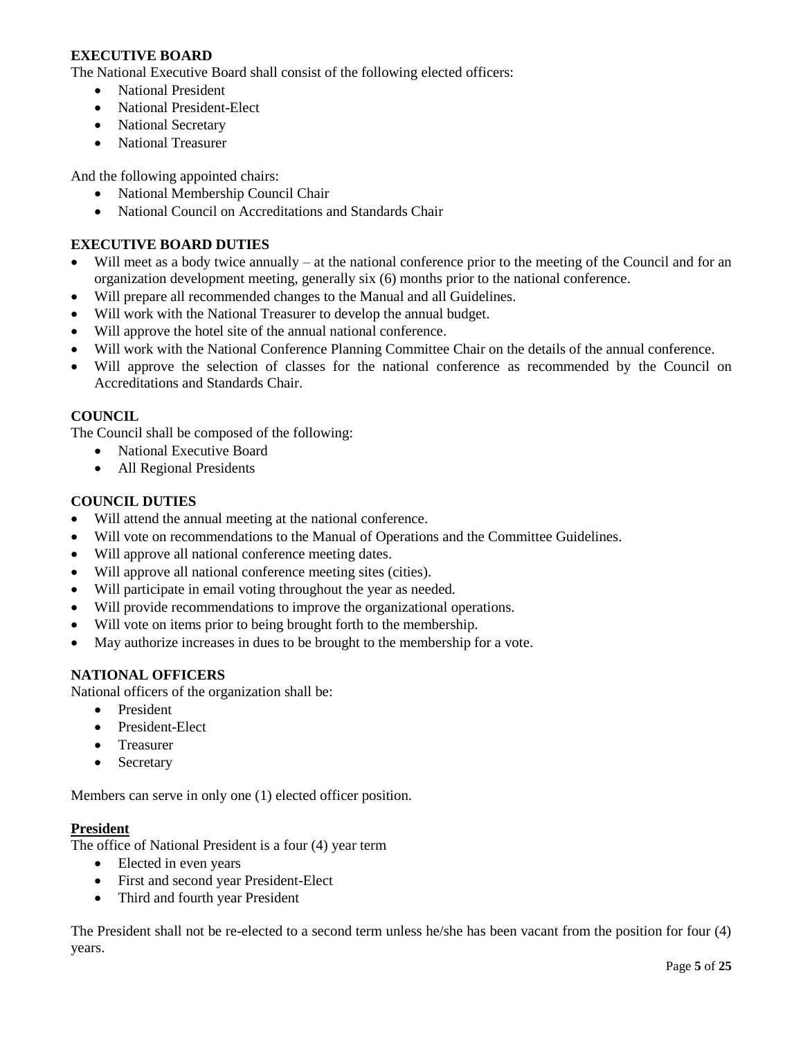## **EXECUTIVE BOARD**

The National Executive Board shall consist of the following elected officers:

- National President
- National President-Elect
- National Secretary
- National Treasurer

And the following appointed chairs:

- National Membership Council Chair
- National Council on Accreditations and Standards Chair

## **EXECUTIVE BOARD DUTIES**

- Will meet as a body twice annually at the national conference prior to the meeting of the Council and for an organization development meeting, generally six (6) months prior to the national conference.
- Will prepare all recommended changes to the Manual and all Guidelines.
- Will work with the National Treasurer to develop the annual budget.
- Will approve the hotel site of the annual national conference.
- Will work with the National Conference Planning Committee Chair on the details of the annual conference.
- Will approve the selection of classes for the national conference as recommended by the Council on Accreditations and Standards Chair.

#### **COUNCIL**

The Council shall be composed of the following:

- National Executive Board
- All Regional Presidents

### **COUNCIL DUTIES**

- Will attend the annual meeting at the national conference.
- Will vote on recommendations to the Manual of Operations and the Committee Guidelines.
- Will approve all national conference meeting dates.
- Will approve all national conference meeting sites (cities).
- Will participate in email voting throughout the year as needed.
- Will provide recommendations to improve the organizational operations.
- Will vote on items prior to being brought forth to the membership.
- May authorize increases in dues to be brought to the membership for a vote.

#### **NATIONAL OFFICERS**

National officers of the organization shall be:

- President
- President-Elect
- Treasurer
- Secretary

Members can serve in only one (1) elected officer position.

#### **President**

The office of National President is a four (4) year term

- Elected in even years
- First and second year President-Elect
- Third and fourth year President

The President shall not be re-elected to a second term unless he/she has been vacant from the position for four (4) years.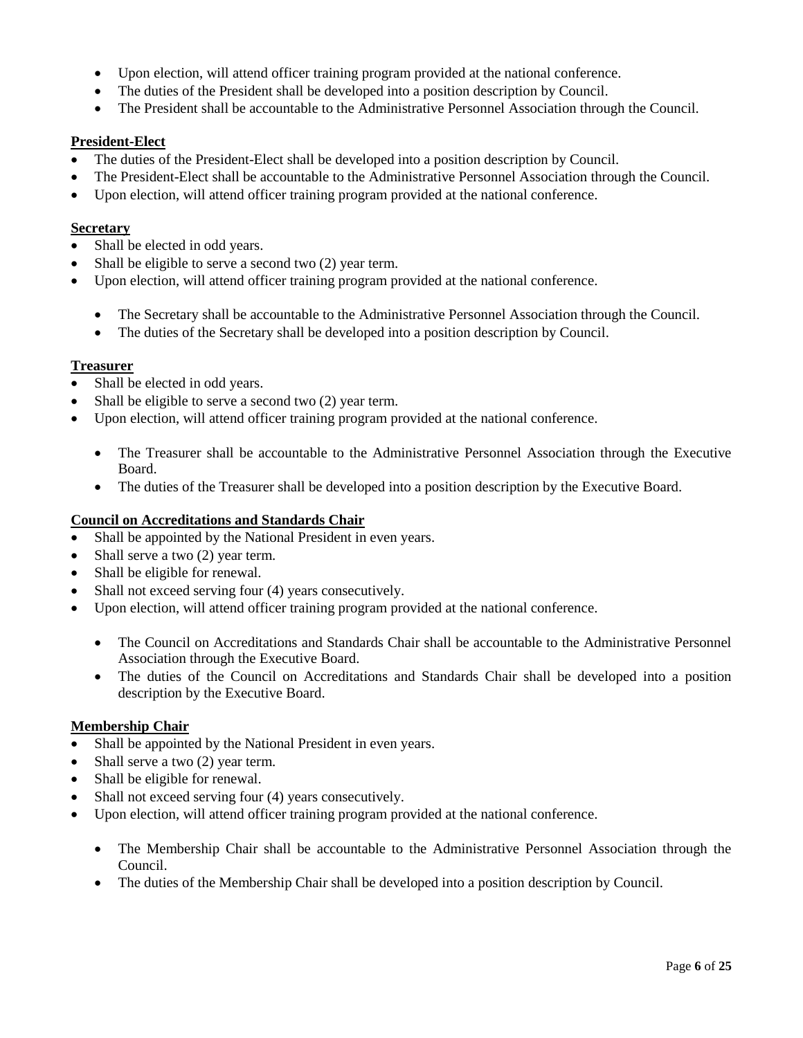- Upon election, will attend officer training program provided at the national conference.
- The duties of the President shall be developed into a position description by Council.
- The President shall be accountable to the Administrative Personnel Association through the Council.

## **President-Elect**

- The duties of the President-Elect shall be developed into a position description by Council.
- The President-Elect shall be accountable to the Administrative Personnel Association through the Council.
- Upon election, will attend officer training program provided at the national conference.

## **Secretary**

- Shall be elected in odd years.
- Shall be eligible to serve a second two  $(2)$  year term.
- Upon election, will attend officer training program provided at the national conference.
	- The Secretary shall be accountable to the Administrative Personnel Association through the Council.
	- The duties of the Secretary shall be developed into a position description by Council.

## **Treasurer**

- Shall be elected in odd years.
- Shall be eligible to serve a second two  $(2)$  year term.
- Upon election, will attend officer training program provided at the national conference.
	- The Treasurer shall be accountable to the Administrative Personnel Association through the Executive Board.
	- The duties of the Treasurer shall be developed into a position description by the Executive Board.

## **Council on Accreditations and Standards Chair**

- Shall be appointed by the National President in even years.
- Shall serve a two  $(2)$  year term.
- Shall be eligible for renewal.
- Shall not exceed serving four (4) years consecutively.
- Upon election, will attend officer training program provided at the national conference.
	- The Council on Accreditations and Standards Chair shall be accountable to the Administrative Personnel Association through the Executive Board.
	- The duties of the Council on Accreditations and Standards Chair shall be developed into a position description by the Executive Board.

## **Membership Chair**

- Shall be appointed by the National President in even years.
- Shall serve a two  $(2)$  year term.
- Shall be eligible for renewal.
- Shall not exceed serving four (4) years consecutively.
- Upon election, will attend officer training program provided at the national conference.
	- The Membership Chair shall be accountable to the Administrative Personnel Association through the Council.
	- The duties of the Membership Chair shall be developed into a position description by Council.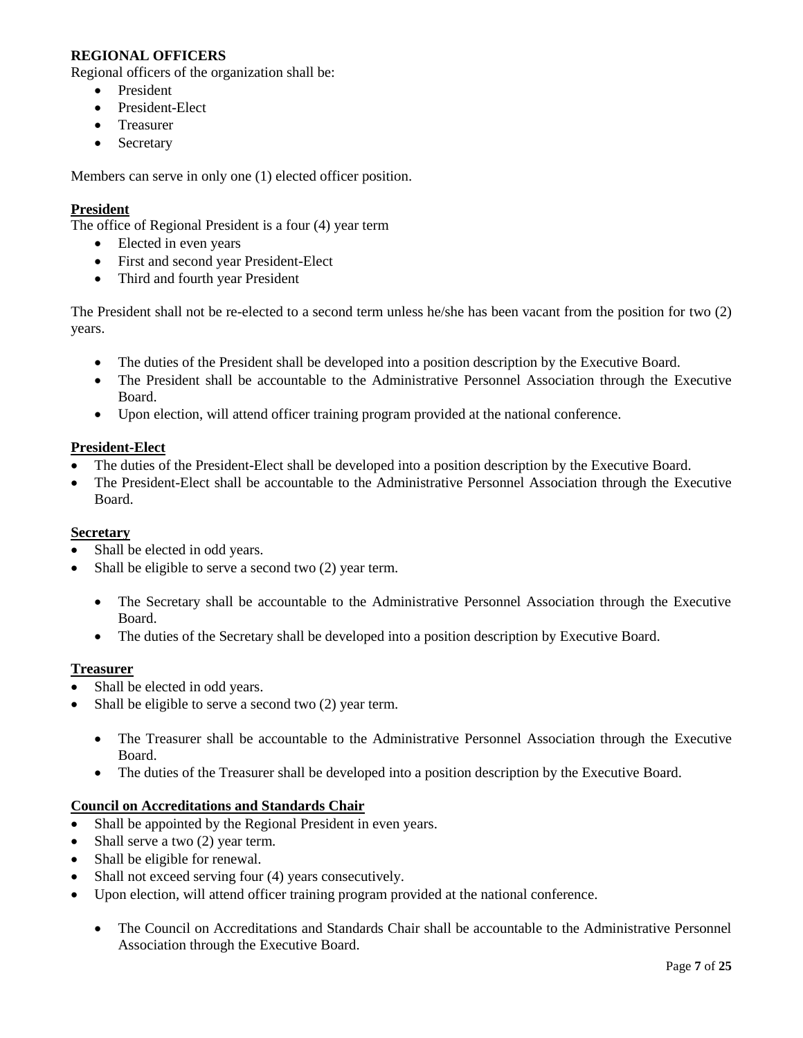## **REGIONAL OFFICERS**

Regional officers of the organization shall be:

- President
- President-Elect
- Treasurer
- Secretary

Members can serve in only one (1) elected officer position.

## **President**

The office of Regional President is a four (4) year term

- Elected in even years
- First and second year President-Elect
- Third and fourth year President

The President shall not be re-elected to a second term unless he/she has been vacant from the position for two (2) years.

- The duties of the President shall be developed into a position description by the Executive Board.
- The President shall be accountable to the Administrative Personnel Association through the Executive Board.
- Upon election, will attend officer training program provided at the national conference.

### **President-Elect**

- The duties of the President-Elect shall be developed into a position description by the Executive Board.
- The President-Elect shall be accountable to the Administrative Personnel Association through the Executive Board.

#### **Secretary**

- Shall be elected in odd years.
- Shall be eligible to serve a second two  $(2)$  year term.
	- The Secretary shall be accountable to the Administrative Personnel Association through the Executive Board.
	- The duties of the Secretary shall be developed into a position description by Executive Board.

#### **Treasurer**

- Shall be elected in odd years.
- Shall be eligible to serve a second two  $(2)$  year term.
	- The Treasurer shall be accountable to the Administrative Personnel Association through the Executive Board.
	- The duties of the Treasurer shall be developed into a position description by the Executive Board.

#### **Council on Accreditations and Standards Chair**

- Shall be appointed by the Regional President in even years.
- Shall serve a two  $(2)$  year term.
- Shall be eligible for renewal.
- Shall not exceed serving four (4) years consecutively.
- Upon election, will attend officer training program provided at the national conference.
	- The Council on Accreditations and Standards Chair shall be accountable to the Administrative Personnel Association through the Executive Board.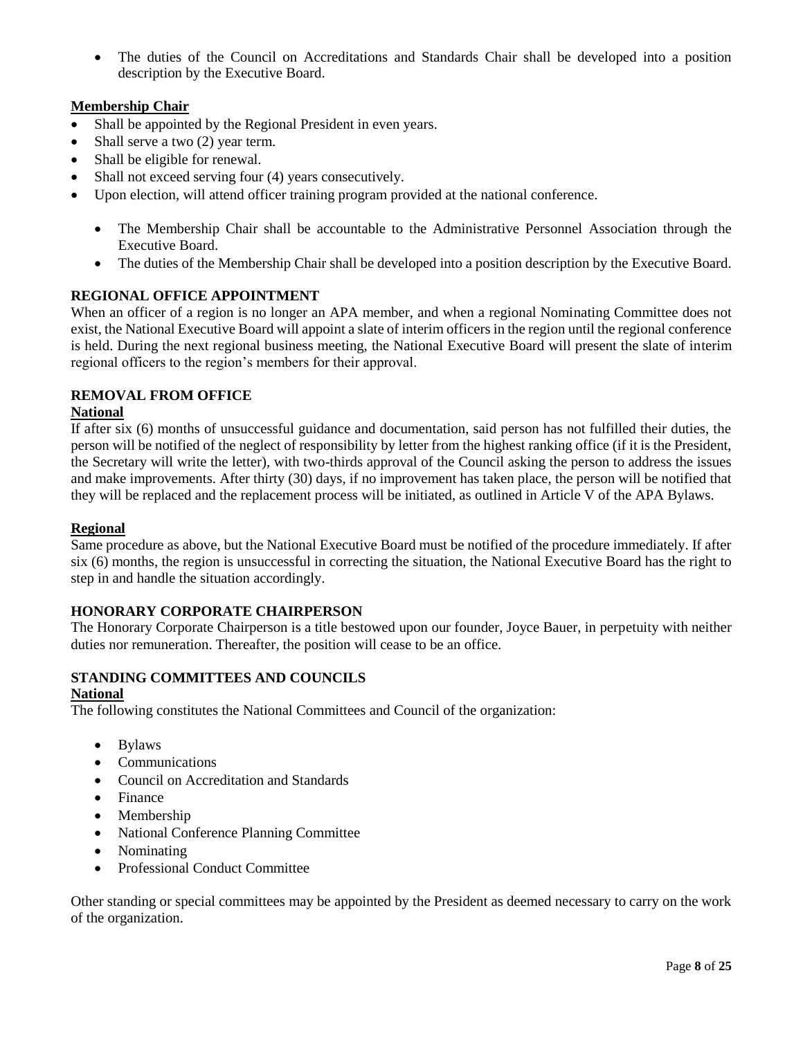• The duties of the Council on Accreditations and Standards Chair shall be developed into a position description by the Executive Board.

## **Membership Chair**

- Shall be appointed by the Regional President in even years.
- Shall serve a two  $(2)$  year term.
- Shall be eligible for renewal.
- Shall not exceed serving four (4) years consecutively.
- Upon election, will attend officer training program provided at the national conference.
	- The Membership Chair shall be accountable to the Administrative Personnel Association through the Executive Board.
	- The duties of the Membership Chair shall be developed into a position description by the Executive Board.

## **REGIONAL OFFICE APPOINTMENT**

When an officer of a region is no longer an APA member, and when a regional Nominating Committee does not exist, the National Executive Board will appoint a slate of interim officers in the region until the regional conference is held. During the next regional business meeting, the National Executive Board will present the slate of interim regional officers to the region's members for their approval.

### **REMOVAL FROM OFFICE**

### **National**

If after six (6) months of unsuccessful guidance and documentation, said person has not fulfilled their duties, the person will be notified of the neglect of responsibility by letter from the highest ranking office (if it is the President, the Secretary will write the letter), with two-thirds approval of the Council asking the person to address the issues and make improvements. After thirty (30) days, if no improvement has taken place, the person will be notified that they will be replaced and the replacement process will be initiated, as outlined in Article V of the APA Bylaws.

#### **Regional**

Same procedure as above, but the National Executive Board must be notified of the procedure immediately. If after six (6) months, the region is unsuccessful in correcting the situation, the National Executive Board has the right to step in and handle the situation accordingly.

## **HONORARY CORPORATE CHAIRPERSON**

The Honorary Corporate Chairperson is a title bestowed upon our founder, Joyce Bauer, in perpetuity with neither duties nor remuneration. Thereafter, the position will cease to be an office.

## **STANDING COMMITTEES AND COUNCILS**

#### **National**

The following constitutes the National Committees and Council of the organization:

- Bylaws
- Communications
- Council on Accreditation and Standards
- Finance
- Membership
- National Conference Planning Committee
- Nominating
- Professional Conduct Committee

Other standing or special committees may be appointed by the President as deemed necessary to carry on the work of the organization.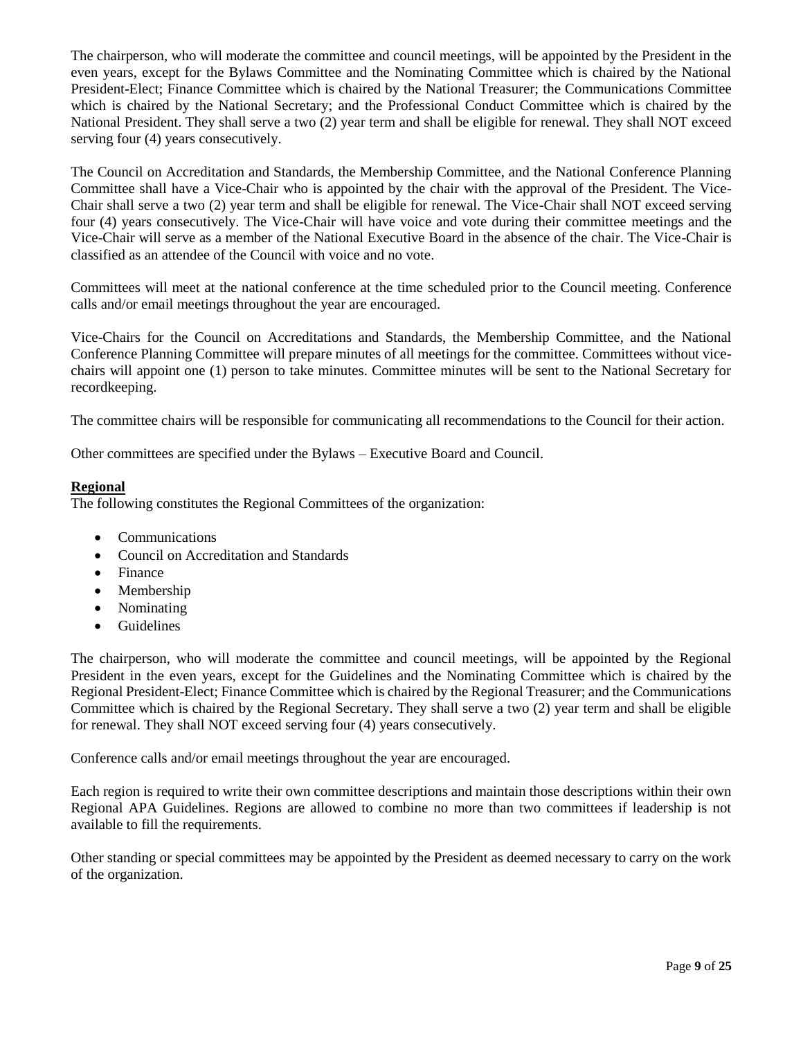The chairperson, who will moderate the committee and council meetings, will be appointed by the President in the even years, except for the Bylaws Committee and the Nominating Committee which is chaired by the National President-Elect; Finance Committee which is chaired by the National Treasurer; the Communications Committee which is chaired by the National Secretary; and the Professional Conduct Committee which is chaired by the National President. They shall serve a two (2) year term and shall be eligible for renewal. They shall NOT exceed serving four (4) years consecutively.

The Council on Accreditation and Standards, the Membership Committee, and the National Conference Planning Committee shall have a Vice-Chair who is appointed by the chair with the approval of the President. The Vice-Chair shall serve a two (2) year term and shall be eligible for renewal. The Vice-Chair shall NOT exceed serving four (4) years consecutively. The Vice-Chair will have voice and vote during their committee meetings and the Vice-Chair will serve as a member of the National Executive Board in the absence of the chair. The Vice-Chair is classified as an attendee of the Council with voice and no vote.

Committees will meet at the national conference at the time scheduled prior to the Council meeting. Conference calls and/or email meetings throughout the year are encouraged.

Vice-Chairs for the Council on Accreditations and Standards, the Membership Committee, and the National Conference Planning Committee will prepare minutes of all meetings for the committee. Committees without vicechairs will appoint one (1) person to take minutes. Committee minutes will be sent to the National Secretary for recordkeeping.

The committee chairs will be responsible for communicating all recommendations to the Council for their action.

Other committees are specified under the Bylaws – Executive Board and Council.

### **Regional**

The following constitutes the Regional Committees of the organization:

- Communications
- Council on Accreditation and Standards
- Finance
- Membership
- Nominating
- Guidelines

The chairperson, who will moderate the committee and council meetings, will be appointed by the Regional President in the even years, except for the Guidelines and the Nominating Committee which is chaired by the Regional President-Elect; Finance Committee which is chaired by the Regional Treasurer; and the Communications Committee which is chaired by the Regional Secretary. They shall serve a two (2) year term and shall be eligible for renewal. They shall NOT exceed serving four (4) years consecutively.

Conference calls and/or email meetings throughout the year are encouraged.

Each region is required to write their own committee descriptions and maintain those descriptions within their own Regional APA Guidelines. Regions are allowed to combine no more than two committees if leadership is not available to fill the requirements.

Other standing or special committees may be appointed by the President as deemed necessary to carry on the work of the organization.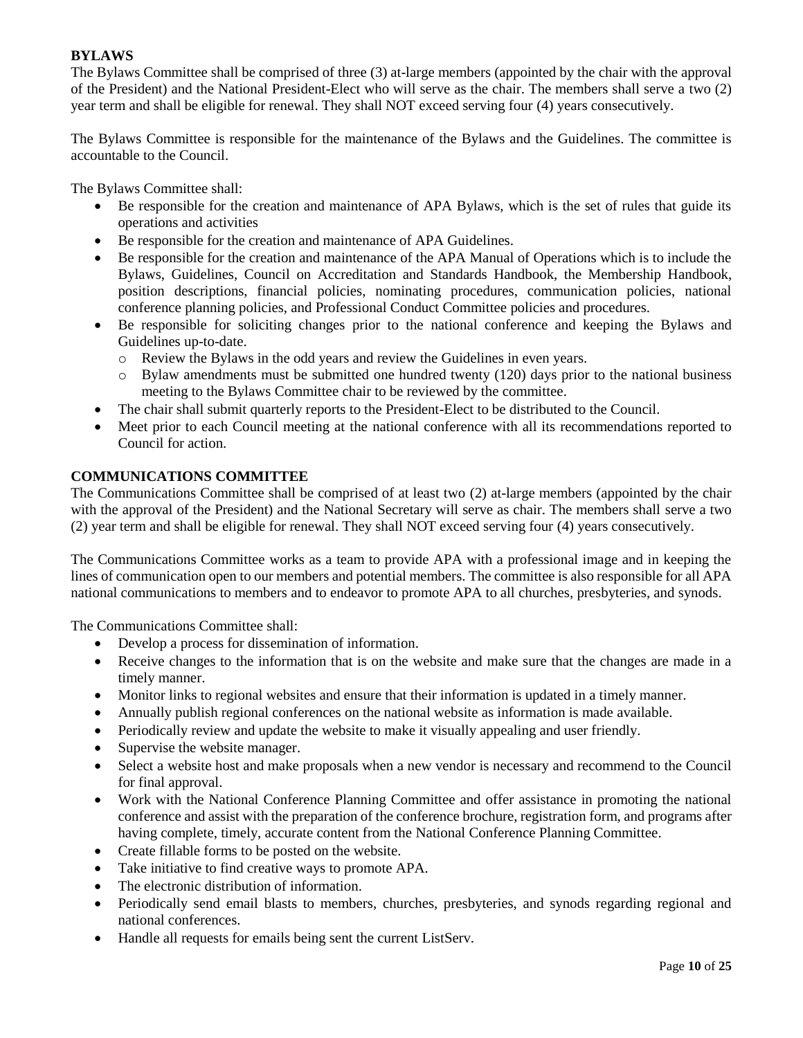## **BYLAWS**

The Bylaws Committee shall be comprised of three (3) at-large members (appointed by the chair with the approval of the President) and the National President-Elect who will serve as the chair. The members shall serve a two (2) year term and shall be eligible for renewal. They shall NOT exceed serving four (4) years consecutively.

The Bylaws Committee is responsible for the maintenance of the Bylaws and the Guidelines. The committee is accountable to the Council.

The Bylaws Committee shall:

- Be responsible for the creation and maintenance of APA Bylaws, which is the set of rules that guide its operations and activities
- Be responsible for the creation and maintenance of APA Guidelines.
- Be responsible for the creation and maintenance of the APA Manual of Operations which is to include the Bylaws, Guidelines, Council on Accreditation and Standards Handbook, the Membership Handbook, position descriptions, financial policies, nominating procedures, communication policies, national conference planning policies, and Professional Conduct Committee policies and procedures.
- Be responsible for soliciting changes prior to the national conference and keeping the Bylaws and Guidelines up-to-date.
	- o Review the Bylaws in the odd years and review the Guidelines in even years.
	- o Bylaw amendments must be submitted one hundred twenty (120) days prior to the national business meeting to the Bylaws Committee chair to be reviewed by the committee.
- The chair shall submit quarterly reports to the President-Elect to be distributed to the Council.
- Meet prior to each Council meeting at the national conference with all its recommendations reported to Council for action.

## **COMMUNICATIONS COMMITTEE**

The Communications Committee shall be comprised of at least two (2) at-large members (appointed by the chair with the approval of the President) and the National Secretary will serve as chair. The members shall serve a two (2) year term and shall be eligible for renewal. They shall NOT exceed serving four (4) years consecutively.

The Communications Committee works as a team to provide APA with a professional image and in keeping the lines of communication open to our members and potential members. The committee is also responsible for all APA national communications to members and to endeavor to promote APA to all churches, presbyteries, and synods.

The Communications Committee shall:

- Develop a process for dissemination of information.
- Receive changes to the information that is on the website and make sure that the changes are made in a timely manner.
- Monitor links to regional websites and ensure that their information is updated in a timely manner.
- Annually publish regional conferences on the national website as information is made available.
- Periodically review and update the website to make it visually appealing and user friendly.
- Supervise the website manager.
- Select a website host and make proposals when a new vendor is necessary and recommend to the Council for final approval.
- Work with the National Conference Planning Committee and offer assistance in promoting the national conference and assist with the preparation of the conference brochure, registration form, and programs after having complete, timely, accurate content from the National Conference Planning Committee.
- Create fillable forms to be posted on the website.
- Take initiative to find creative ways to promote APA.
- The electronic distribution of information.
- Periodically send email blasts to members, churches, presbyteries, and synods regarding regional and national conferences.
- Handle all requests for emails being sent the current ListServ.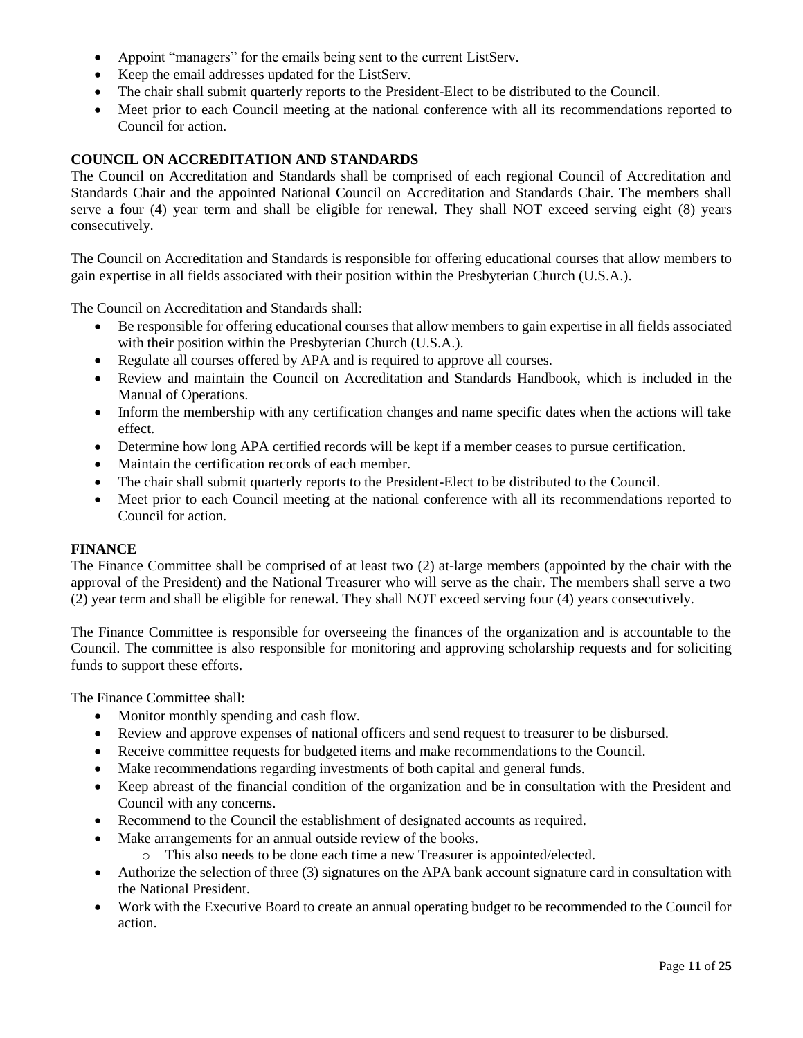- Appoint "managers" for the emails being sent to the current ListServ.
- Keep the email addresses updated for the ListServ.
- The chair shall submit quarterly reports to the President-Elect to be distributed to the Council.
- Meet prior to each Council meeting at the national conference with all its recommendations reported to Council for action.

### **COUNCIL ON ACCREDITATION AND STANDARDS**

The Council on Accreditation and Standards shall be comprised of each regional Council of Accreditation and Standards Chair and the appointed National Council on Accreditation and Standards Chair. The members shall serve a four (4) year term and shall be eligible for renewal. They shall NOT exceed serving eight (8) years consecutively.

The Council on Accreditation and Standards is responsible for offering educational courses that allow members to gain expertise in all fields associated with their position within the Presbyterian Church (U.S.A.).

The Council on Accreditation and Standards shall:

- Be responsible for offering educational courses that allow members to gain expertise in all fields associated with their position within the Presbyterian Church (U.S.A.).
- Regulate all courses offered by APA and is required to approve all courses.
- Review and maintain the Council on Accreditation and Standards Handbook, which is included in the Manual of Operations.
- Inform the membership with any certification changes and name specific dates when the actions will take effect.
- Determine how long APA certified records will be kept if a member ceases to pursue certification.
- Maintain the certification records of each member.
- The chair shall submit quarterly reports to the President-Elect to be distributed to the Council.
- Meet prior to each Council meeting at the national conference with all its recommendations reported to Council for action.

#### **FINANCE**

The Finance Committee shall be comprised of at least two (2) at-large members (appointed by the chair with the approval of the President) and the National Treasurer who will serve as the chair. The members shall serve a two (2) year term and shall be eligible for renewal. They shall NOT exceed serving four (4) years consecutively.

The Finance Committee is responsible for overseeing the finances of the organization and is accountable to the Council. The committee is also responsible for monitoring and approving scholarship requests and for soliciting funds to support these efforts.

The Finance Committee shall:

- Monitor monthly spending and cash flow.
- Review and approve expenses of national officers and send request to treasurer to be disbursed.
- Receive committee requests for budgeted items and make recommendations to the Council.
- Make recommendations regarding investments of both capital and general funds.
- Keep abreast of the financial condition of the organization and be in consultation with the President and Council with any concerns.
- Recommend to the Council the establishment of designated accounts as required.
- Make arrangements for an annual outside review of the books.
	- o This also needs to be done each time a new Treasurer is appointed/elected.
- Authorize the selection of three (3) signatures on the APA bank account signature card in consultation with the National President.
- Work with the Executive Board to create an annual operating budget to be recommended to the Council for action.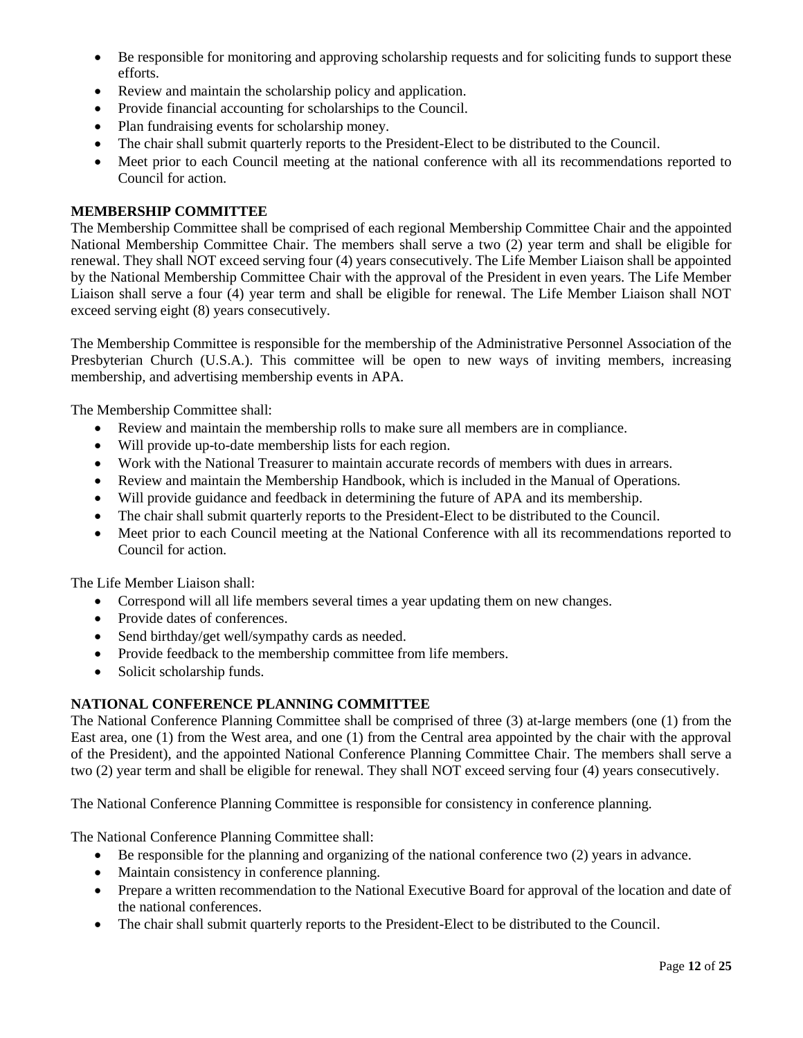- Be responsible for monitoring and approving scholarship requests and for soliciting funds to support these efforts.
- Review and maintain the scholarship policy and application.
- Provide financial accounting for scholarships to the Council.
- Plan fundraising events for scholarship money.
- The chair shall submit quarterly reports to the President-Elect to be distributed to the Council.
- Meet prior to each Council meeting at the national conference with all its recommendations reported to Council for action.

## **MEMBERSHIP COMMITTEE**

The Membership Committee shall be comprised of each regional Membership Committee Chair and the appointed National Membership Committee Chair. The members shall serve a two (2) year term and shall be eligible for renewal. They shall NOT exceed serving four (4) years consecutively. The Life Member Liaison shall be appointed by the National Membership Committee Chair with the approval of the President in even years. The Life Member Liaison shall serve a four (4) year term and shall be eligible for renewal. The Life Member Liaison shall NOT exceed serving eight (8) years consecutively.

The Membership Committee is responsible for the membership of the Administrative Personnel Association of the Presbyterian Church (U.S.A.). This committee will be open to new ways of inviting members, increasing membership, and advertising membership events in APA.

The Membership Committee shall:

- Review and maintain the membership rolls to make sure all members are in compliance.
- Will provide up-to-date membership lists for each region.
- Work with the National Treasurer to maintain accurate records of members with dues in arrears.
- Review and maintain the Membership Handbook, which is included in the Manual of Operations.
- Will provide guidance and feedback in determining the future of APA and its membership.
- The chair shall submit quarterly reports to the President-Elect to be distributed to the Council.
- Meet prior to each Council meeting at the National Conference with all its recommendations reported to Council for action.

The Life Member Liaison shall:

- Correspond will all life members several times a year updating them on new changes.
- Provide dates of conferences.
- Send birthday/get well/sympathy cards as needed.
- Provide feedback to the membership committee from life members.
- Solicit scholarship funds.

## **NATIONAL CONFERENCE PLANNING COMMITTEE**

The National Conference Planning Committee shall be comprised of three (3) at-large members (one (1) from the East area, one (1) from the West area, and one (1) from the Central area appointed by the chair with the approval of the President), and the appointed National Conference Planning Committee Chair. The members shall serve a two (2) year term and shall be eligible for renewal. They shall NOT exceed serving four (4) years consecutively.

The National Conference Planning Committee is responsible for consistency in conference planning.

The National Conference Planning Committee shall:

- Be responsible for the planning and organizing of the national conference two (2) years in advance.
- Maintain consistency in conference planning.
- Prepare a written recommendation to the National Executive Board for approval of the location and date of the national conferences.
- The chair shall submit quarterly reports to the President-Elect to be distributed to the Council.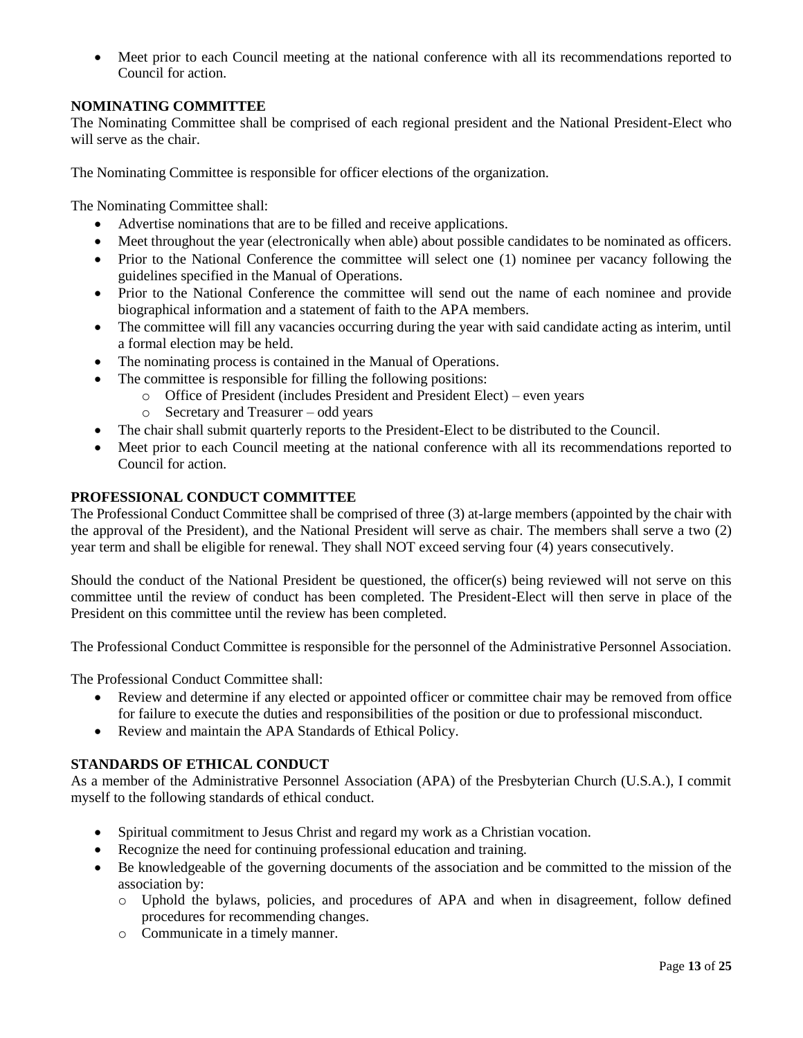• Meet prior to each Council meeting at the national conference with all its recommendations reported to Council for action.

## **NOMINATING COMMITTEE**

The Nominating Committee shall be comprised of each regional president and the National President-Elect who will serve as the chair.

The Nominating Committee is responsible for officer elections of the organization.

The Nominating Committee shall:

- Advertise nominations that are to be filled and receive applications.
- Meet throughout the year (electronically when able) about possible candidates to be nominated as officers.
- Prior to the National Conference the committee will select one (1) nominee per vacancy following the guidelines specified in the Manual of Operations.
- Prior to the National Conference the committee will send out the name of each nominee and provide biographical information and a statement of faith to the APA members.
- The committee will fill any vacancies occurring during the year with said candidate acting as interim, until a formal election may be held.
- The nominating process is contained in the Manual of Operations.
- The committee is responsible for filling the following positions:
	- o Office of President (includes President and President Elect) even years
	- o Secretary and Treasurer odd years
- The chair shall submit quarterly reports to the President-Elect to be distributed to the Council.
- Meet prior to each Council meeting at the national conference with all its recommendations reported to Council for action.

## **PROFESSIONAL CONDUCT COMMITTEE**

The Professional Conduct Committee shall be comprised of three (3) at-large members (appointed by the chair with the approval of the President), and the National President will serve as chair. The members shall serve a two (2) year term and shall be eligible for renewal. They shall NOT exceed serving four (4) years consecutively.

Should the conduct of the National President be questioned, the officer(s) being reviewed will not serve on this committee until the review of conduct has been completed. The President-Elect will then serve in place of the President on this committee until the review has been completed.

The Professional Conduct Committee is responsible for the personnel of the Administrative Personnel Association.

The Professional Conduct Committee shall:

- Review and determine if any elected or appointed officer or committee chair may be removed from office for failure to execute the duties and responsibilities of the position or due to professional misconduct.
- Review and maintain the APA Standards of Ethical Policy.

## **STANDARDS OF ETHICAL CONDUCT**

As a member of the Administrative Personnel Association (APA) of the Presbyterian Church (U.S.A.), I commit myself to the following standards of ethical conduct.

- Spiritual commitment to Jesus Christ and regard my work as a Christian vocation.
- Recognize the need for continuing professional education and training.
- Be knowledgeable of the governing documents of the association and be committed to the mission of the association by:
	- o Uphold the bylaws, policies, and procedures of APA and when in disagreement, follow defined procedures for recommending changes.
	- o Communicate in a timely manner.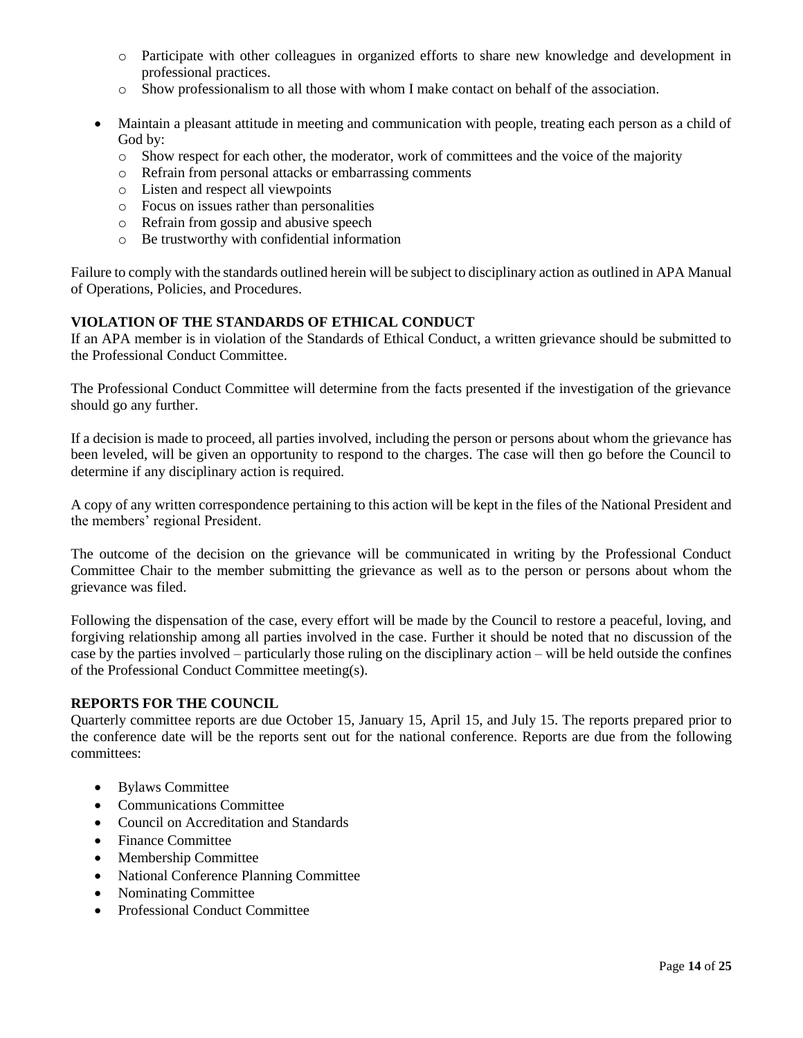- o Participate with other colleagues in organized efforts to share new knowledge and development in professional practices.
- o Show professionalism to all those with whom I make contact on behalf of the association.
- Maintain a pleasant attitude in meeting and communication with people, treating each person as a child of God by:
	- o Show respect for each other, the moderator, work of committees and the voice of the majority
	- o Refrain from personal attacks or embarrassing comments
	- o Listen and respect all viewpoints
	- o Focus on issues rather than personalities
	- o Refrain from gossip and abusive speech
	- o Be trustworthy with confidential information

Failure to comply with the standards outlined herein will be subject to disciplinary action as outlined in APA Manual of Operations, Policies, and Procedures.

## **VIOLATION OF THE STANDARDS OF ETHICAL CONDUCT**

If an APA member is in violation of the Standards of Ethical Conduct, a written grievance should be submitted to the Professional Conduct Committee.

The Professional Conduct Committee will determine from the facts presented if the investigation of the grievance should go any further.

If a decision is made to proceed, all parties involved, including the person or persons about whom the grievance has been leveled, will be given an opportunity to respond to the charges. The case will then go before the Council to determine if any disciplinary action is required.

A copy of any written correspondence pertaining to this action will be kept in the files of the National President and the members' regional President.

The outcome of the decision on the grievance will be communicated in writing by the Professional Conduct Committee Chair to the member submitting the grievance as well as to the person or persons about whom the grievance was filed.

Following the dispensation of the case, every effort will be made by the Council to restore a peaceful, loving, and forgiving relationship among all parties involved in the case. Further it should be noted that no discussion of the case by the parties involved – particularly those ruling on the disciplinary action – will be held outside the confines of the Professional Conduct Committee meeting(s).

## **REPORTS FOR THE COUNCIL**

Quarterly committee reports are due October 15, January 15, April 15, and July 15. The reports prepared prior to the conference date will be the reports sent out for the national conference. Reports are due from the following committees:

- Bylaws Committee
- Communications Committee
- Council on Accreditation and Standards
- Finance Committee
- Membership Committee
- National Conference Planning Committee
- Nominating Committee
- Professional Conduct Committee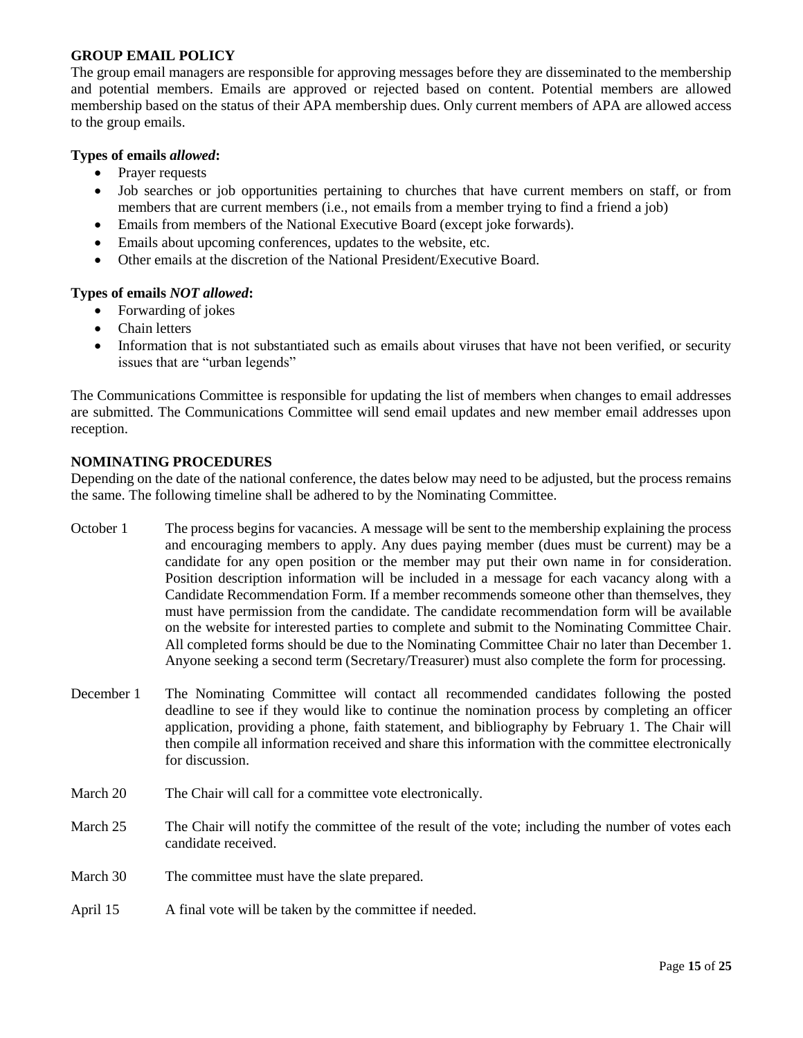### **GROUP EMAIL POLICY**

The group email managers are responsible for approving messages before they are disseminated to the membership and potential members. Emails are approved or rejected based on content. Potential members are allowed membership based on the status of their APA membership dues. Only current members of APA are allowed access to the group emails.

### **Types of emails** *allowed***:**

- Prayer requests
- Job searches or job opportunities pertaining to churches that have current members on staff, or from members that are current members (i.e., not emails from a member trying to find a friend a job)
- Emails from members of the National Executive Board (except joke forwards).
- Emails about upcoming conferences, updates to the website, etc.
- Other emails at the discretion of the National President/Executive Board.

### **Types of emails** *NOT allowed***:**

- Forwarding of jokes
- Chain letters
- Information that is not substantiated such as emails about viruses that have not been verified, or security issues that are "urban legends"

The Communications Committee is responsible for updating the list of members when changes to email addresses are submitted. The Communications Committee will send email updates and new member email addresses upon reception.

### **NOMINATING PROCEDURES**

Depending on the date of the national conference, the dates below may need to be adjusted, but the process remains the same. The following timeline shall be adhered to by the Nominating Committee.

- October 1 The process begins for vacancies. A message will be sent to the membership explaining the process and encouraging members to apply. Any dues paying member (dues must be current) may be a candidate for any open position or the member may put their own name in for consideration. Position description information will be included in a message for each vacancy along with a Candidate Recommendation Form. If a member recommends someone other than themselves, they must have permission from the candidate. The candidate recommendation form will be available on the website for interested parties to complete and submit to the Nominating Committee Chair. All completed forms should be due to the Nominating Committee Chair no later than December 1. Anyone seeking a second term (Secretary/Treasurer) must also complete the form for processing.
- December 1 The Nominating Committee will contact all recommended candidates following the posted deadline to see if they would like to continue the nomination process by completing an officer application, providing a phone, faith statement, and bibliography by February 1. The Chair will then compile all information received and share this information with the committee electronically for discussion.
- March 20 The Chair will call for a committee vote electronically.
- March 25 The Chair will notify the committee of the result of the vote; including the number of votes each candidate received.
- March 30 The committee must have the slate prepared.
- April 15 A final vote will be taken by the committee if needed.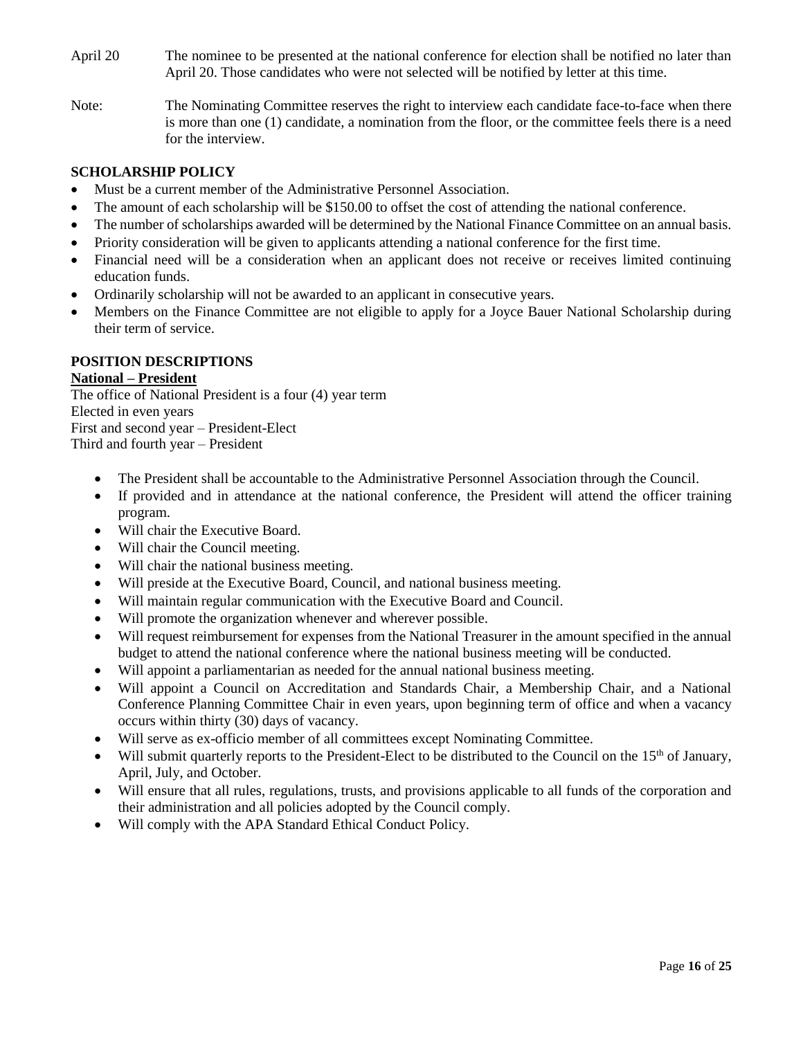- April 20 The nominee to be presented at the national conference for election shall be notified no later than April 20. Those candidates who were not selected will be notified by letter at this time.
- Note: The Nominating Committee reserves the right to interview each candidate face-to-face when there is more than one (1) candidate, a nomination from the floor, or the committee feels there is a need for the interview.

## **SCHOLARSHIP POLICY**

- Must be a current member of the Administrative Personnel Association.
- The amount of each scholarship will be \$150.00 to offset the cost of attending the national conference.
- The number of scholarships awarded will be determined by the National Finance Committee on an annual basis.
- Priority consideration will be given to applicants attending a national conference for the first time.
- Financial need will be a consideration when an applicant does not receive or receives limited continuing education funds.
- Ordinarily scholarship will not be awarded to an applicant in consecutive years.
- Members on the Finance Committee are not eligible to apply for a Joyce Bauer National Scholarship during their term of service.

## **POSITION DESCRIPTIONS**

## **National – President**

The office of National President is a four (4) year term Elected in even years First and second year – President-Elect Third and fourth year – President

- The President shall be accountable to the Administrative Personnel Association through the Council.
- If provided and in attendance at the national conference, the President will attend the officer training program.
- Will chair the Executive Board.
- Will chair the Council meeting.
- Will chair the national business meeting.
- Will preside at the Executive Board, Council, and national business meeting.
- Will maintain regular communication with the Executive Board and Council.
- Will promote the organization whenever and wherever possible.
- Will request reimbursement for expenses from the National Treasurer in the amount specified in the annual budget to attend the national conference where the national business meeting will be conducted.
- Will appoint a parliamentarian as needed for the annual national business meeting.
- Will appoint a Council on Accreditation and Standards Chair, a Membership Chair, and a National Conference Planning Committee Chair in even years, upon beginning term of office and when a vacancy occurs within thirty (30) days of vacancy.
- Will serve as ex-officio member of all committees except Nominating Committee.
- Will submit quarterly reports to the President-Elect to be distributed to the Council on the 15<sup>th</sup> of January, April, July, and October.
- Will ensure that all rules, regulations, trusts, and provisions applicable to all funds of the corporation and their administration and all policies adopted by the Council comply.
- Will comply with the APA Standard Ethical Conduct Policy.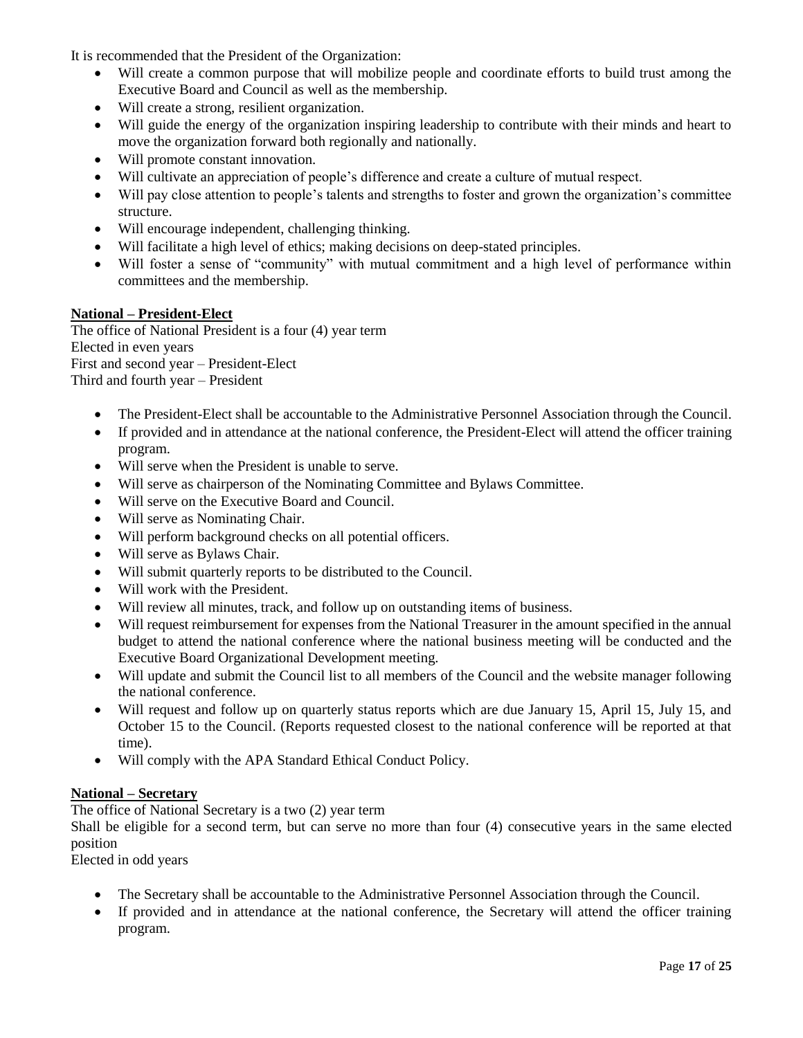It is recommended that the President of the Organization:

- Will create a common purpose that will mobilize people and coordinate efforts to build trust among the Executive Board and Council as well as the membership.
- Will create a strong, resilient organization.
- Will guide the energy of the organization inspiring leadership to contribute with their minds and heart to move the organization forward both regionally and nationally.
- Will promote constant innovation.
- Will cultivate an appreciation of people's difference and create a culture of mutual respect.
- Will pay close attention to people's talents and strengths to foster and grown the organization's committee structure.
- Will encourage independent, challenging thinking.
- Will facilitate a high level of ethics; making decisions on deep-stated principles.
- Will foster a sense of "community" with mutual commitment and a high level of performance within committees and the membership.

### **National – President-Elect**

The office of National President is a four (4) year term Elected in even years First and second year – President-Elect Third and fourth year – President

- The President-Elect shall be accountable to the Administrative Personnel Association through the Council.
- If provided and in attendance at the national conference, the President-Elect will attend the officer training program.
- Will serve when the President is unable to serve.
- Will serve as chairperson of the Nominating Committee and Bylaws Committee.
- Will serve on the Executive Board and Council.
- Will serve as Nominating Chair.
- Will perform background checks on all potential officers.
- Will serve as Bylaws Chair.
- Will submit quarterly reports to be distributed to the Council.
- Will work with the President.
- Will review all minutes, track, and follow up on outstanding items of business.
- Will request reimbursement for expenses from the National Treasurer in the amount specified in the annual budget to attend the national conference where the national business meeting will be conducted and the Executive Board Organizational Development meeting.
- Will update and submit the Council list to all members of the Council and the website manager following the national conference.
- Will request and follow up on quarterly status reports which are due January 15, April 15, July 15, and October 15 to the Council. (Reports requested closest to the national conference will be reported at that time).
- Will comply with the APA Standard Ethical Conduct Policy.

#### **National – Secretary**

The office of National Secretary is a two (2) year term

Shall be eligible for a second term, but can serve no more than four (4) consecutive years in the same elected position

Elected in odd years

- The Secretary shall be accountable to the Administrative Personnel Association through the Council.
- If provided and in attendance at the national conference, the Secretary will attend the officer training program.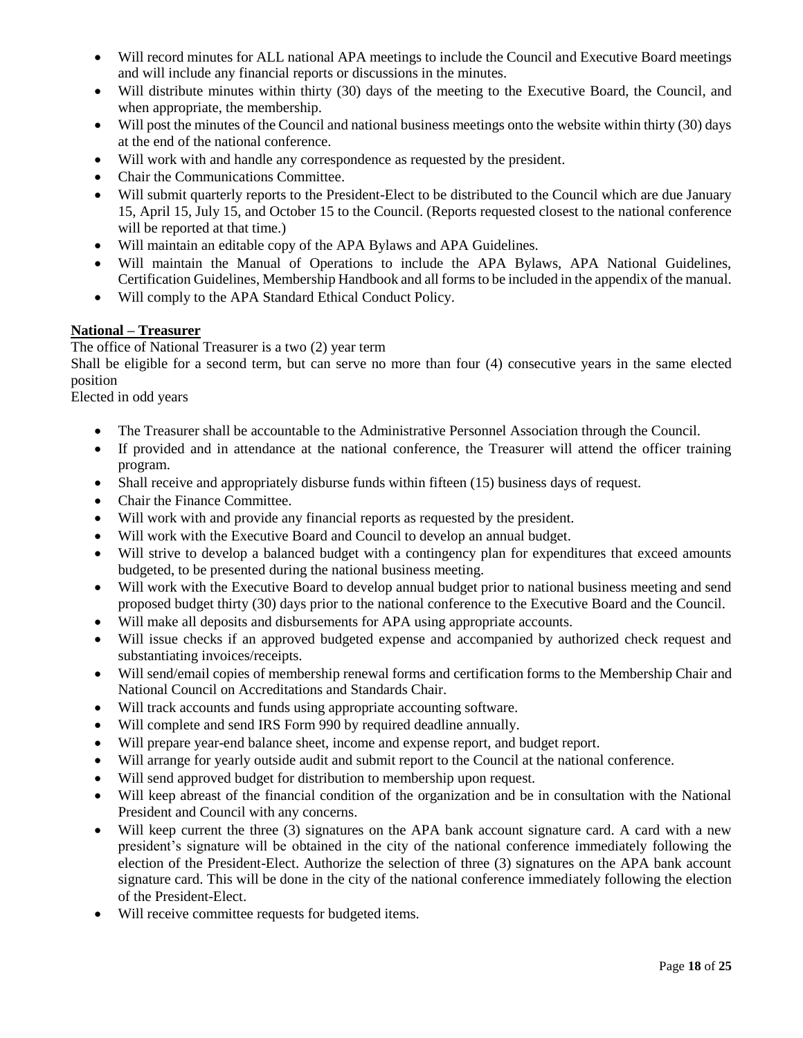- Will record minutes for ALL national APA meetings to include the Council and Executive Board meetings and will include any financial reports or discussions in the minutes.
- Will distribute minutes within thirty (30) days of the meeting to the Executive Board, the Council, and when appropriate, the membership.
- Will post the minutes of the Council and national business meetings onto the website within thirty (30) days at the end of the national conference.
- Will work with and handle any correspondence as requested by the president.
- Chair the Communications Committee.
- Will submit quarterly reports to the President-Elect to be distributed to the Council which are due January 15, April 15, July 15, and October 15 to the Council. (Reports requested closest to the national conference will be reported at that time.)
- Will maintain an editable copy of the APA Bylaws and APA Guidelines.
- Will maintain the Manual of Operations to include the APA Bylaws, APA National Guidelines, Certification Guidelines, Membership Handbook and all forms to be included in the appendix of the manual.
- Will comply to the APA Standard Ethical Conduct Policy.

### **National – Treasurer**

The office of National Treasurer is a two (2) year term

Shall be eligible for a second term, but can serve no more than four (4) consecutive years in the same elected position

Elected in odd years

- The Treasurer shall be accountable to the Administrative Personnel Association through the Council.
- If provided and in attendance at the national conference, the Treasurer will attend the officer training program.
- Shall receive and appropriately disburse funds within fifteen (15) business days of request.
- Chair the Finance Committee.
- Will work with and provide any financial reports as requested by the president.
- Will work with the Executive Board and Council to develop an annual budget.
- Will strive to develop a balanced budget with a contingency plan for expenditures that exceed amounts budgeted, to be presented during the national business meeting.
- Will work with the Executive Board to develop annual budget prior to national business meeting and send proposed budget thirty (30) days prior to the national conference to the Executive Board and the Council.
- Will make all deposits and disbursements for APA using appropriate accounts.
- Will issue checks if an approved budgeted expense and accompanied by authorized check request and substantiating invoices/receipts.
- Will send/email copies of membership renewal forms and certification forms to the Membership Chair and National Council on Accreditations and Standards Chair.
- Will track accounts and funds using appropriate accounting software.
- Will complete and send IRS Form 990 by required deadline annually.
- Will prepare year-end balance sheet, income and expense report, and budget report.
- Will arrange for yearly outside audit and submit report to the Council at the national conference.
- Will send approved budget for distribution to membership upon request.
- Will keep abreast of the financial condition of the organization and be in consultation with the National President and Council with any concerns.
- Will keep current the three (3) signatures on the APA bank account signature card. A card with a new president's signature will be obtained in the city of the national conference immediately following the election of the President-Elect. Authorize the selection of three (3) signatures on the APA bank account signature card. This will be done in the city of the national conference immediately following the election of the President-Elect.
- Will receive committee requests for budgeted items.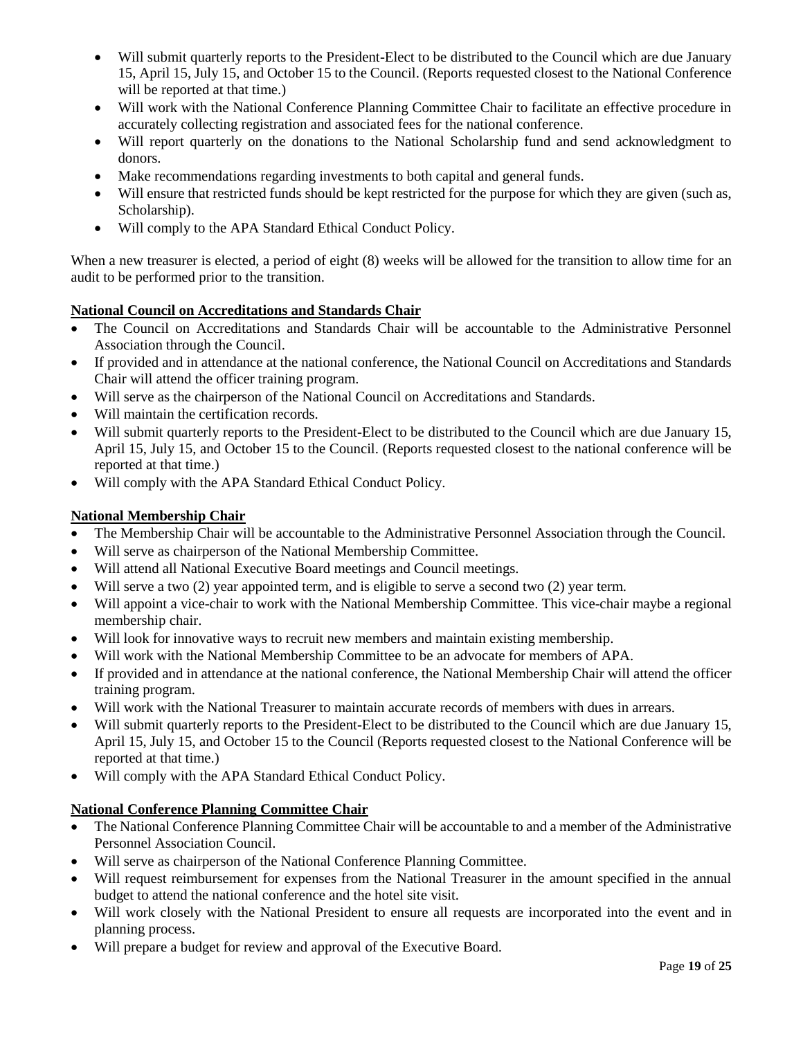- Will submit quarterly reports to the President-Elect to be distributed to the Council which are due January 15, April 15, July 15, and October 15 to the Council. (Reports requested closest to the National Conference will be reported at that time.)
- Will work with the National Conference Planning Committee Chair to facilitate an effective procedure in accurately collecting registration and associated fees for the national conference.
- Will report quarterly on the donations to the National Scholarship fund and send acknowledgment to donors.
- Make recommendations regarding investments to both capital and general funds.
- Will ensure that restricted funds should be kept restricted for the purpose for which they are given (such as, Scholarship).
- Will comply to the APA Standard Ethical Conduct Policy.

When a new treasurer is elected, a period of eight  $(8)$  weeks will be allowed for the transition to allow time for an audit to be performed prior to the transition.

## **National Council on Accreditations and Standards Chair**

- The Council on Accreditations and Standards Chair will be accountable to the Administrative Personnel Association through the Council.
- If provided and in attendance at the national conference, the National Council on Accreditations and Standards Chair will attend the officer training program.
- Will serve as the chairperson of the National Council on Accreditations and Standards.
- Will maintain the certification records.
- Will submit quarterly reports to the President-Elect to be distributed to the Council which are due January 15, April 15, July 15, and October 15 to the Council. (Reports requested closest to the national conference will be reported at that time.)
- Will comply with the APA Standard Ethical Conduct Policy.

### **National Membership Chair**

- The Membership Chair will be accountable to the Administrative Personnel Association through the Council.
- Will serve as chairperson of the National Membership Committee.
- Will attend all National Executive Board meetings and Council meetings.
- Will serve a two (2) year appointed term, and is eligible to serve a second two (2) year term.
- Will appoint a vice-chair to work with the National Membership Committee. This vice-chair maybe a regional membership chair.
- Will look for innovative ways to recruit new members and maintain existing membership.
- Will work with the National Membership Committee to be an advocate for members of APA.
- If provided and in attendance at the national conference, the National Membership Chair will attend the officer training program.
- Will work with the National Treasurer to maintain accurate records of members with dues in arrears.
- Will submit quarterly reports to the President-Elect to be distributed to the Council which are due January 15, April 15, July 15, and October 15 to the Council (Reports requested closest to the National Conference will be reported at that time.)
- Will comply with the APA Standard Ethical Conduct Policy.

#### **National Conference Planning Committee Chair**

- The National Conference Planning Committee Chair will be accountable to and a member of the Administrative Personnel Association Council.
- Will serve as chairperson of the National Conference Planning Committee.
- Will request reimbursement for expenses from the National Treasurer in the amount specified in the annual budget to attend the national conference and the hotel site visit.
- Will work closely with the National President to ensure all requests are incorporated into the event and in planning process.
- Will prepare a budget for review and approval of the Executive Board.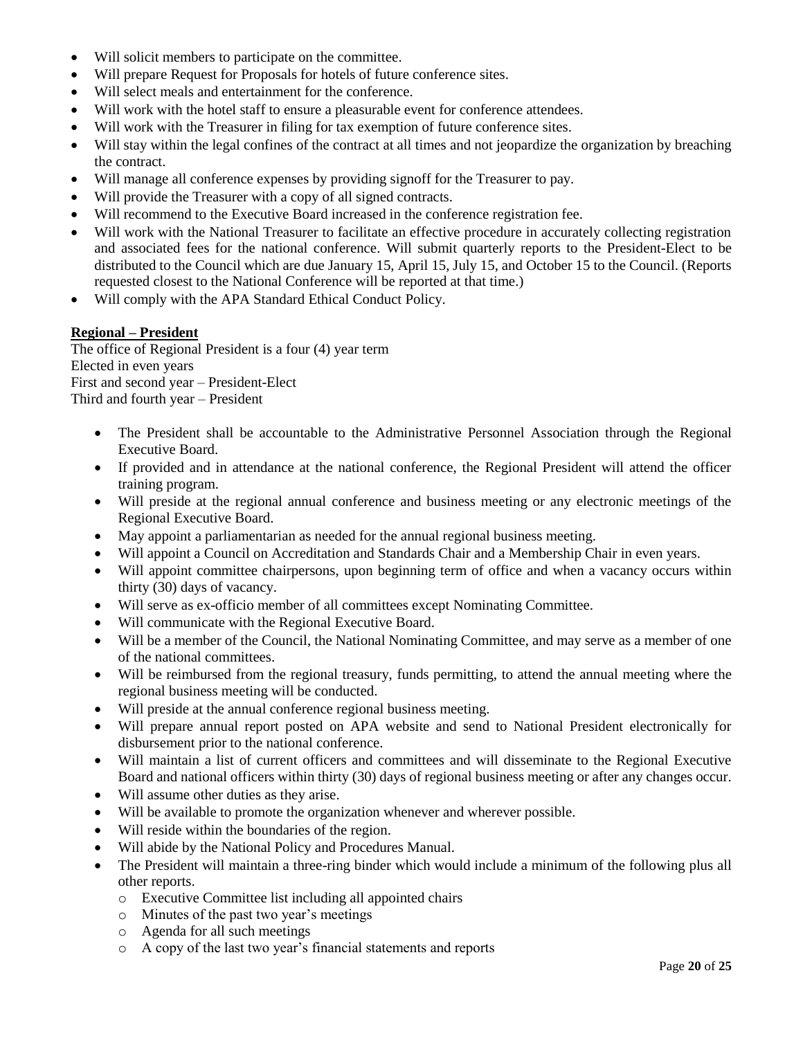- Will solicit members to participate on the committee.
- Will prepare Request for Proposals for hotels of future conference sites.
- Will select meals and entertainment for the conference.
- Will work with the hotel staff to ensure a pleasurable event for conference attendees.
- Will work with the Treasurer in filing for tax exemption of future conference sites.
- Will stay within the legal confines of the contract at all times and not jeopardize the organization by breaching the contract.
- Will manage all conference expenses by providing signoff for the Treasurer to pay.
- Will provide the Treasurer with a copy of all signed contracts.
- Will recommend to the Executive Board increased in the conference registration fee.
- Will work with the National Treasurer to facilitate an effective procedure in accurately collecting registration and associated fees for the national conference. Will submit quarterly reports to the President-Elect to be distributed to the Council which are due January 15, April 15, July 15, and October 15 to the Council. (Reports requested closest to the National Conference will be reported at that time.)
- Will comply with the APA Standard Ethical Conduct Policy.

## **Regional – President**

The office of Regional President is a four (4) year term Elected in even years First and second year – President-Elect Third and fourth year – President

- The President shall be accountable to the Administrative Personnel Association through the Regional Executive Board.
- If provided and in attendance at the national conference, the Regional President will attend the officer training program.
- Will preside at the regional annual conference and business meeting or any electronic meetings of the Regional Executive Board.
- May appoint a parliamentarian as needed for the annual regional business meeting.
- Will appoint a Council on Accreditation and Standards Chair and a Membership Chair in even years.
- Will appoint committee chairpersons, upon beginning term of office and when a vacancy occurs within thirty (30) days of vacancy.
- Will serve as ex-officio member of all committees except Nominating Committee.
- Will communicate with the Regional Executive Board.
- Will be a member of the Council, the National Nominating Committee, and may serve as a member of one of the national committees.
- Will be reimbursed from the regional treasury, funds permitting, to attend the annual meeting where the regional business meeting will be conducted.
- Will preside at the annual conference regional business meeting.
- Will prepare annual report posted on APA website and send to National President electronically for disbursement prior to the national conference.
- Will maintain a list of current officers and committees and will disseminate to the Regional Executive Board and national officers within thirty (30) days of regional business meeting or after any changes occur.
- Will assume other duties as they arise.
- Will be available to promote the organization whenever and wherever possible.
- Will reside within the boundaries of the region.
- Will abide by the National Policy and Procedures Manual.
- The President will maintain a three-ring binder which would include a minimum of the following plus all other reports.
	- o Executive Committee list including all appointed chairs
	- o Minutes of the past two year's meetings
	- o Agenda for all such meetings
	- o A copy of the last two year's financial statements and reports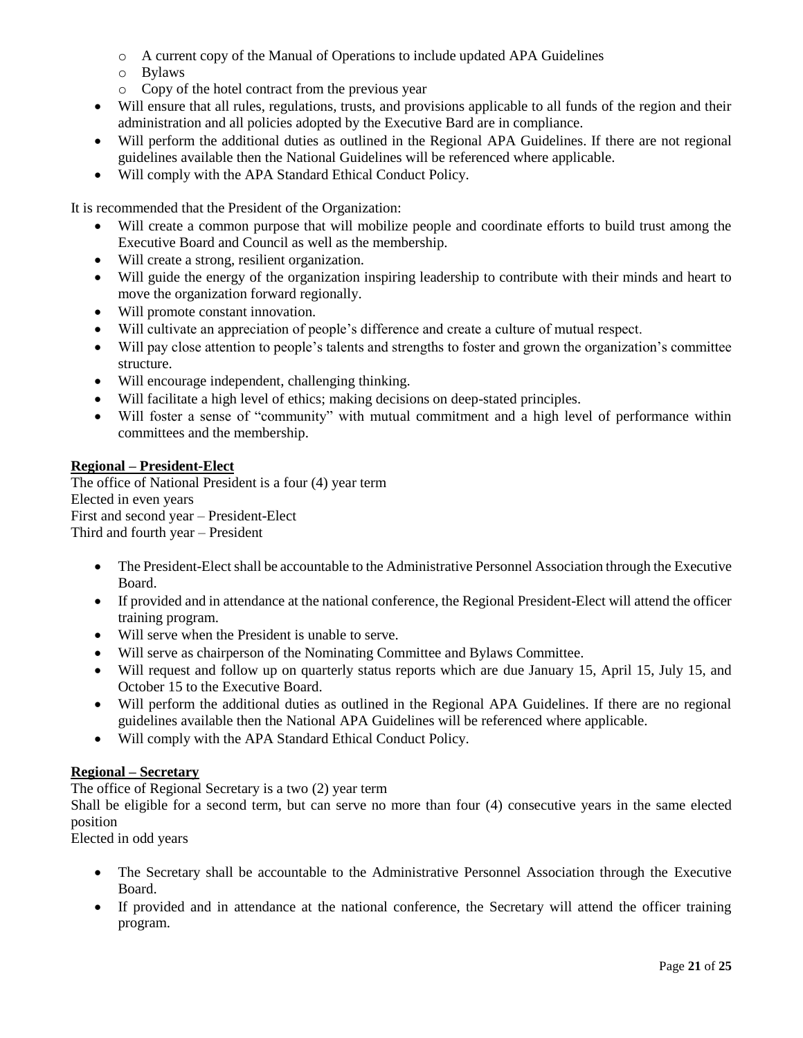- o A current copy of the Manual of Operations to include updated APA Guidelines
- o Bylaws
- o Copy of the hotel contract from the previous year
- Will ensure that all rules, regulations, trusts, and provisions applicable to all funds of the region and their administration and all policies adopted by the Executive Bard are in compliance.
- Will perform the additional duties as outlined in the Regional APA Guidelines. If there are not regional guidelines available then the National Guidelines will be referenced where applicable.
- Will comply with the APA Standard Ethical Conduct Policy.

It is recommended that the President of the Organization:

- Will create a common purpose that will mobilize people and coordinate efforts to build trust among the Executive Board and Council as well as the membership.
- Will create a strong, resilient organization.
- Will guide the energy of the organization inspiring leadership to contribute with their minds and heart to move the organization forward regionally.
- Will promote constant innovation.
- Will cultivate an appreciation of people's difference and create a culture of mutual respect.
- Will pay close attention to people's talents and strengths to foster and grown the organization's committee structure.
- Will encourage independent, challenging thinking.
- Will facilitate a high level of ethics; making decisions on deep-stated principles.
- Will foster a sense of "community" with mutual commitment and a high level of performance within committees and the membership.

### **Regional – President-Elect**

The office of National President is a four (4) year term Elected in even years First and second year – President-Elect Third and fourth year – President

- The President-Elect shall be accountable to the Administrative Personnel Association through the Executive Board.
- If provided and in attendance at the national conference, the Regional President-Elect will attend the officer training program.
- Will serve when the President is unable to serve.
- Will serve as chairperson of the Nominating Committee and Bylaws Committee.
- Will request and follow up on quarterly status reports which are due January 15, April 15, July 15, and October 15 to the Executive Board.
- Will perform the additional duties as outlined in the Regional APA Guidelines. If there are no regional guidelines available then the National APA Guidelines will be referenced where applicable.
- Will comply with the APA Standard Ethical Conduct Policy.

## **Regional – Secretary**

The office of Regional Secretary is a two (2) year term

Shall be eligible for a second term, but can serve no more than four (4) consecutive years in the same elected position

Elected in odd years

- The Secretary shall be accountable to the Administrative Personnel Association through the Executive Board.
- If provided and in attendance at the national conference, the Secretary will attend the officer training program.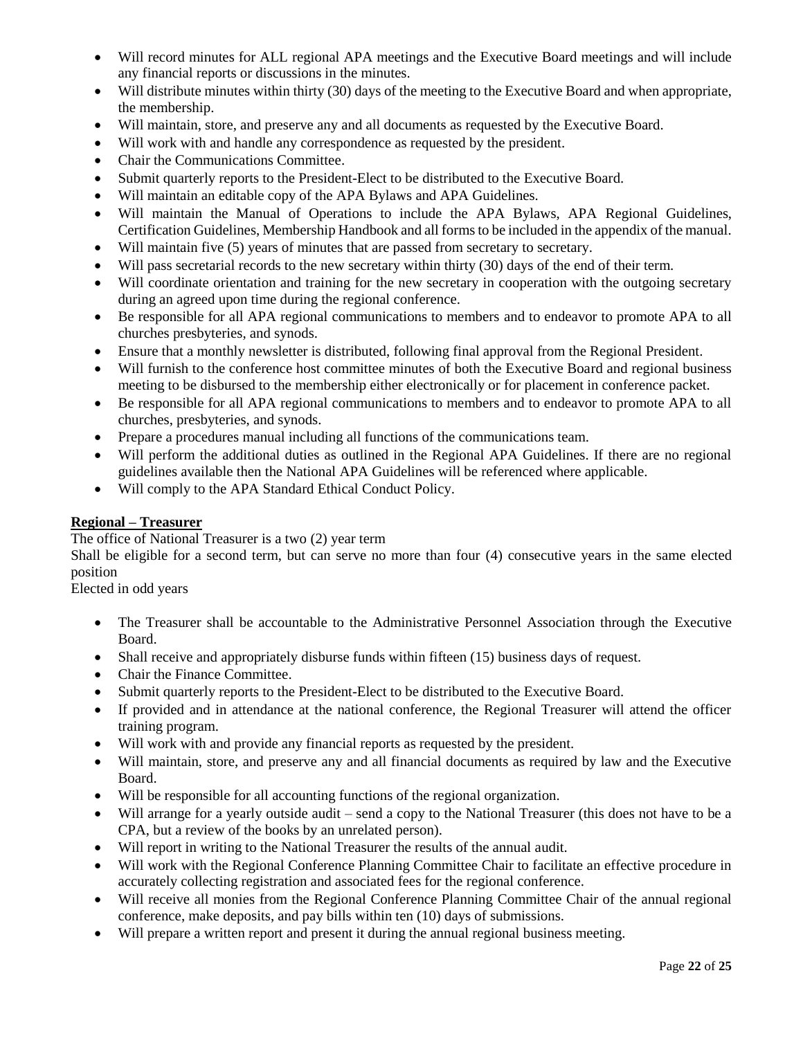- Will record minutes for ALL regional APA meetings and the Executive Board meetings and will include any financial reports or discussions in the minutes.
- Will distribute minutes within thirty (30) days of the meeting to the Executive Board and when appropriate, the membership.
- Will maintain, store, and preserve any and all documents as requested by the Executive Board.
- Will work with and handle any correspondence as requested by the president.
- Chair the Communications Committee.
- Submit quarterly reports to the President-Elect to be distributed to the Executive Board.
- Will maintain an editable copy of the APA Bylaws and APA Guidelines.
- Will maintain the Manual of Operations to include the APA Bylaws, APA Regional Guidelines, Certification Guidelines, Membership Handbook and all forms to be included in the appendix of the manual.
- Will maintain five (5) years of minutes that are passed from secretary to secretary.
- Will pass secretarial records to the new secretary within thirty (30) days of the end of their term.
- Will coordinate orientation and training for the new secretary in cooperation with the outgoing secretary during an agreed upon time during the regional conference.
- Be responsible for all APA regional communications to members and to endeavor to promote APA to all churches presbyteries, and synods.
- Ensure that a monthly newsletter is distributed, following final approval from the Regional President.
- Will furnish to the conference host committee minutes of both the Executive Board and regional business meeting to be disbursed to the membership either electronically or for placement in conference packet.
- Be responsible for all APA regional communications to members and to endeavor to promote APA to all churches, presbyteries, and synods.
- Prepare a procedures manual including all functions of the communications team.
- Will perform the additional duties as outlined in the Regional APA Guidelines. If there are no regional guidelines available then the National APA Guidelines will be referenced where applicable.
- Will comply to the APA Standard Ethical Conduct Policy.

## **Regional – Treasurer**

The office of National Treasurer is a two (2) year term

Shall be eligible for a second term, but can serve no more than four (4) consecutive years in the same elected position

Elected in odd years

- The Treasurer shall be accountable to the Administrative Personnel Association through the Executive Board.
- Shall receive and appropriately disburse funds within fifteen (15) business days of request.
- Chair the Finance Committee.
- Submit quarterly reports to the President-Elect to be distributed to the Executive Board.
- If provided and in attendance at the national conference, the Regional Treasurer will attend the officer training program.
- Will work with and provide any financial reports as requested by the president.
- Will maintain, store, and preserve any and all financial documents as required by law and the Executive Board.
- Will be responsible for all accounting functions of the regional organization.
- Will arrange for a yearly outside audit send a copy to the National Treasurer (this does not have to be a CPA, but a review of the books by an unrelated person).
- Will report in writing to the National Treasurer the results of the annual audit.
- Will work with the Regional Conference Planning Committee Chair to facilitate an effective procedure in accurately collecting registration and associated fees for the regional conference.
- Will receive all monies from the Regional Conference Planning Committee Chair of the annual regional conference, make deposits, and pay bills within ten (10) days of submissions.
- Will prepare a written report and present it during the annual regional business meeting.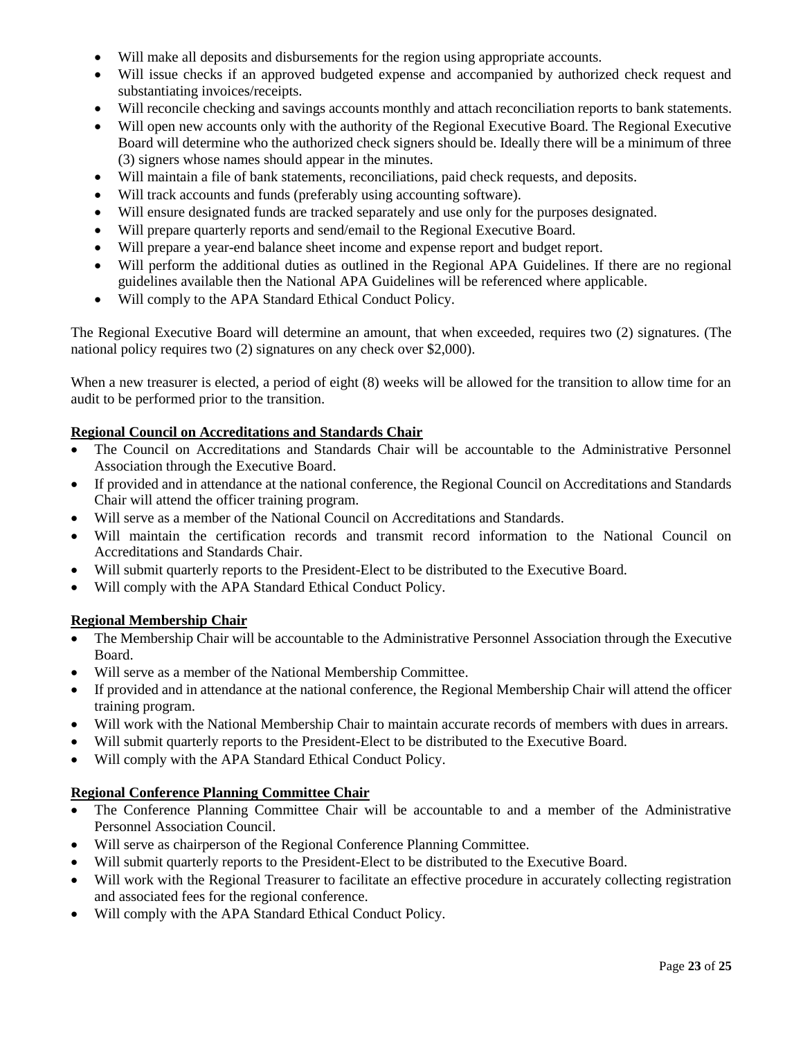- Will make all deposits and disbursements for the region using appropriate accounts.
- Will issue checks if an approved budgeted expense and accompanied by authorized check request and substantiating invoices/receipts.
- Will reconcile checking and savings accounts monthly and attach reconciliation reports to bank statements.
- Will open new accounts only with the authority of the Regional Executive Board. The Regional Executive Board will determine who the authorized check signers should be. Ideally there will be a minimum of three (3) signers whose names should appear in the minutes.
- Will maintain a file of bank statements, reconciliations, paid check requests, and deposits.
- Will track accounts and funds (preferably using accounting software).
- Will ensure designated funds are tracked separately and use only for the purposes designated.
- Will prepare quarterly reports and send/email to the Regional Executive Board.
- Will prepare a year-end balance sheet income and expense report and budget report.
- Will perform the additional duties as outlined in the Regional APA Guidelines. If there are no regional guidelines available then the National APA Guidelines will be referenced where applicable.
- Will comply to the APA Standard Ethical Conduct Policy.

The Regional Executive Board will determine an amount, that when exceeded, requires two (2) signatures. (The national policy requires two (2) signatures on any check over \$2,000).

When a new treasurer is elected, a period of eight (8) weeks will be allowed for the transition to allow time for an audit to be performed prior to the transition.

## **Regional Council on Accreditations and Standards Chair**

- The Council on Accreditations and Standards Chair will be accountable to the Administrative Personnel Association through the Executive Board.
- If provided and in attendance at the national conference, the Regional Council on Accreditations and Standards Chair will attend the officer training program.
- Will serve as a member of the National Council on Accreditations and Standards.
- Will maintain the certification records and transmit record information to the National Council on Accreditations and Standards Chair.
- Will submit quarterly reports to the President-Elect to be distributed to the Executive Board.
- Will comply with the APA Standard Ethical Conduct Policy.

## **Regional Membership Chair**

- The Membership Chair will be accountable to the Administrative Personnel Association through the Executive Board.
- Will serve as a member of the National Membership Committee.
- If provided and in attendance at the national conference, the Regional Membership Chair will attend the officer training program.
- Will work with the National Membership Chair to maintain accurate records of members with dues in arrears.
- Will submit quarterly reports to the President-Elect to be distributed to the Executive Board.
- Will comply with the APA Standard Ethical Conduct Policy.

## **Regional Conference Planning Committee Chair**

- The Conference Planning Committee Chair will be accountable to and a member of the Administrative Personnel Association Council.
- Will serve as chairperson of the Regional Conference Planning Committee.
- Will submit quarterly reports to the President-Elect to be distributed to the Executive Board.
- Will work with the Regional Treasurer to facilitate an effective procedure in accurately collecting registration and associated fees for the regional conference.
- Will comply with the APA Standard Ethical Conduct Policy.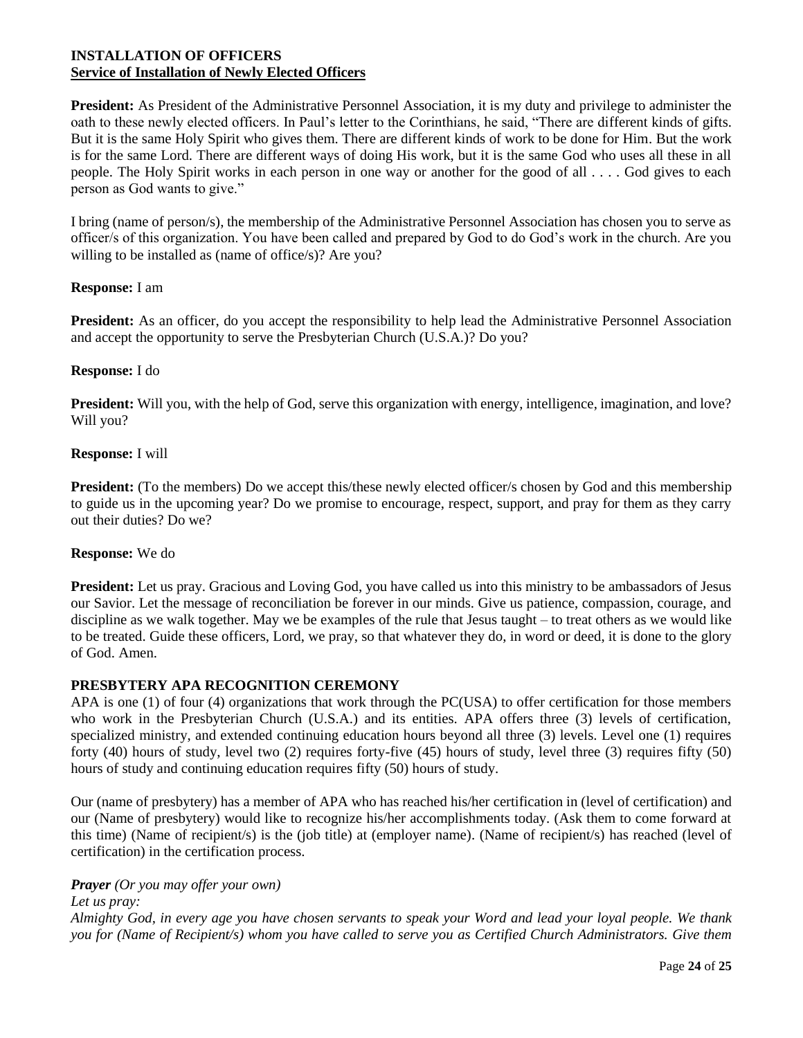### **INSTALLATION OF OFFICERS Service of Installation of Newly Elected Officers**

**President:** As President of the Administrative Personnel Association, it is my duty and privilege to administer the oath to these newly elected officers. In Paul's letter to the Corinthians, he said, "There are different kinds of gifts. But it is the same Holy Spirit who gives them. There are different kinds of work to be done for Him. But the work is for the same Lord. There are different ways of doing His work, but it is the same God who uses all these in all people. The Holy Spirit works in each person in one way or another for the good of all . . . . God gives to each person as God wants to give."

I bring (name of person/s), the membership of the Administrative Personnel Association has chosen you to serve as officer/s of this organization. You have been called and prepared by God to do God's work in the church. Are you willing to be installed as (name of office/s)? Are you?

### **Response:** I am

**President:** As an officer, do you accept the responsibility to help lead the Administrative Personnel Association and accept the opportunity to serve the Presbyterian Church (U.S.A.)? Do you?

#### **Response:** I do

**President:** Will you, with the help of God, serve this organization with energy, intelligence, imagination, and love? Will you?

### **Response:** I will

**President:** (To the members) Do we accept this/these newly elected officer/s chosen by God and this membership to guide us in the upcoming year? Do we promise to encourage, respect, support, and pray for them as they carry out their duties? Do we?

#### **Response:** We do

**President:** Let us pray. Gracious and Loving God, you have called us into this ministry to be ambassadors of Jesus our Savior. Let the message of reconciliation be forever in our minds. Give us patience, compassion, courage, and discipline as we walk together. May we be examples of the rule that Jesus taught – to treat others as we would like to be treated. Guide these officers, Lord, we pray, so that whatever they do, in word or deed, it is done to the glory of God. Amen.

#### **PRESBYTERY APA RECOGNITION CEREMONY**

APA is one (1) of four (4) organizations that work through the PC(USA) to offer certification for those members who work in the Presbyterian Church (U.S.A.) and its entities. APA offers three (3) levels of certification, specialized ministry, and extended continuing education hours beyond all three (3) levels. Level one (1) requires forty (40) hours of study, level two (2) requires forty-five (45) hours of study, level three (3) requires fifty (50) hours of study and continuing education requires fifty (50) hours of study.

Our (name of presbytery) has a member of APA who has reached his/her certification in (level of certification) and our (Name of presbytery) would like to recognize his/her accomplishments today. (Ask them to come forward at this time) (Name of recipient/s) is the (job title) at (employer name). (Name of recipient/s) has reached (level of certification) in the certification process.

#### *Prayer (Or you may offer your own)*

*Let us pray:*

*Almighty God, in every age you have chosen servants to speak your Word and lead your loyal people. We thank you for (Name of Recipient/s) whom you have called to serve you as Certified Church Administrators. Give them*